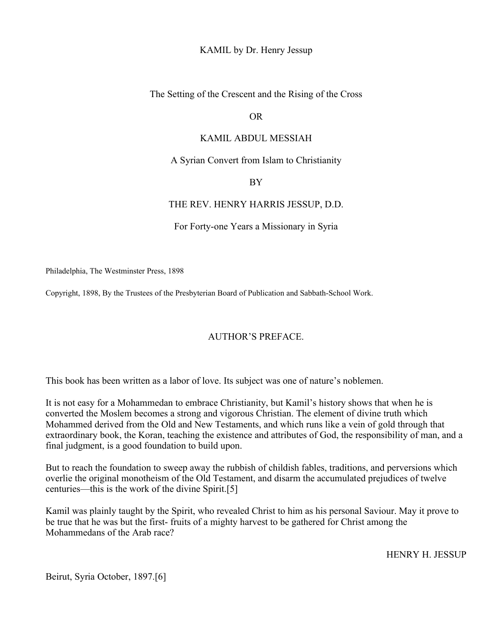KAMIL by Dr. Henry Jessup

The Setting of the Crescent and the Rising of the Cross

OR

#### KAMIL ABDUL MESSIAH

A Syrian Convert from Islam to Christianity

BY

#### THE REV. HENRY HARRIS JESSUP, D.D.

For Forty-one Years a Missionary in Syria

Philadelphia, The Westminster Press, 1898

Copyright, 1898, By the Trustees of the Presbyterian Board of Publication and Sabbath-School Work.

### AUTHOR'S PREFACE.

This book has been written as a labor of love. Its subject was one of nature's noblemen.

It is not easy for a Mohammedan to embrace Christianity, but Kamil's history shows that when he is converted the Moslem becomes a strong and vigorous Christian. The element of divine truth which Mohammed derived from the Old and New Testaments, and which runs like a vein of gold through that extraordinary book, the Koran, teaching the existence and attributes of God, the responsibility of man, and a final judgment, is a good foundation to build upon.

But to reach the foundation to sweep away the rubbish of childish fables, traditions, and perversions which overlie the original monotheism of the Old Testament, and disarm the accumulated prejudices of twelve centuries—this is the work of the divine Spirit.[5]

Kamil was plainly taught by the Spirit, who revealed Christ to him as his personal Saviour. May it prove to be true that he was but the first- fruits of a mighty harvest to be gathered for Christ among the Mohammedans of the Arab race?

HENRY H. JESSUP

Beirut, Syria October, 1897.[6]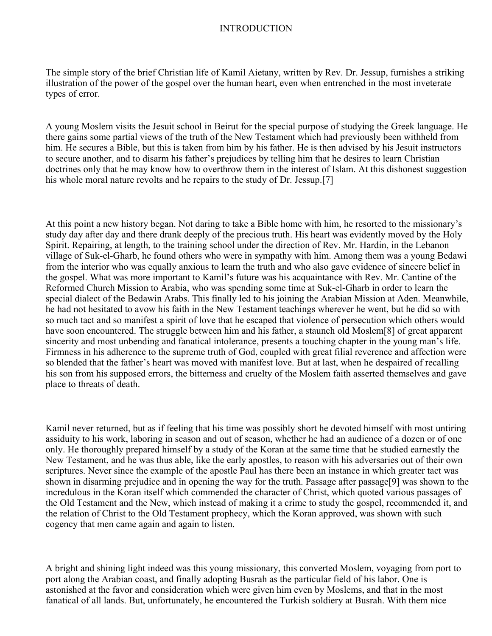### INTRODUCTION

The simple story of the brief Christian life of Kamil Aietany, written by Rev. Dr. Jessup, furnishes a striking illustration of the power of the gospel over the human heart, even when entrenched in the most inveterate types of error.

A young Moslem visits the Jesuit school in Beirut for the special purpose of studying the Greek language. He there gains some partial views of the truth of the New Testament which had previously been withheld from him. He secures a Bible, but this is taken from him by his father. He is then advised by his Jesuit instructors to secure another, and to disarm his father's prejudices by telling him that he desires to learn Christian doctrines only that he may know how to overthrow them in the interest of Islam. At this dishonest suggestion his whole moral nature revolts and he repairs to the study of Dr. Jessup.[7]

At this point a new history began. Not daring to take a Bible home with him, he resorted to the missionary's study day after day and there drank deeply of the precious truth. His heart was evidently moved by the Holy Spirit. Repairing, at length, to the training school under the direction of Rev. Mr. Hardin, in the Lebanon village of Suk-el-Gharb, he found others who were in sympathy with him. Among them was a young Bedawi from the interior who was equally anxious to learn the truth and who also gave evidence of sincere belief in the gospel. What was more important to Kamil's future was his acquaintance with Rev. Mr. Cantine of the Reformed Church Mission to Arabia, who was spending some time at Suk-el-Gharb in order to learn the special dialect of the Bedawin Arabs. This finally led to his joining the Arabian Mission at Aden. Meanwhile, he had not hesitated to avow his faith in the New Testament teachings wherever he went, but he did so with so much tact and so manifest a spirit of love that he escaped that violence of persecution which others would have soon encountered. The struggle between him and his father, a staunch old Moslem<sup>[8]</sup> of great apparent sincerity and most unbending and fanatical intolerance, presents a touching chapter in the young man's life. Firmness in his adherence to the supreme truth of God, coupled with great filial reverence and affection were so blended that the father's heart was moved with manifest love. But at last, when he despaired of recalling his son from his supposed errors, the bitterness and cruelty of the Moslem faith asserted themselves and gave place to threats of death.

Kamil never returned, but as if feeling that his time was possibly short he devoted himself with most untiring assiduity to his work, laboring in season and out of season, whether he had an audience of a dozen or of one only. He thoroughly prepared himself by a study of the Koran at the same time that he studied earnestly the New Testament, and he was thus able, like the early apostles, to reason with his adversaries out of their own scriptures. Never since the example of the apostle Paul has there been an instance in which greater tact was shown in disarming prejudice and in opening the way for the truth. Passage after passage[9] was shown to the incredulous in the Koran itself which commended the character of Christ, which quoted various passages of the Old Testament and the New, which instead of making it a crime to study the gospel, recommended it, and the relation of Christ to the Old Testament prophecy, which the Koran approved, was shown with such cogency that men came again and again to listen.

A bright and shining light indeed was this young missionary, this converted Moslem, voyaging from port to port along the Arabian coast, and finally adopting Busrah as the particular field of his labor. One is astonished at the favor and consideration which were given him even by Moslems, and that in the most fanatical of all lands. But, unfortunately, he encountered the Turkish soldiery at Busrah. With them nice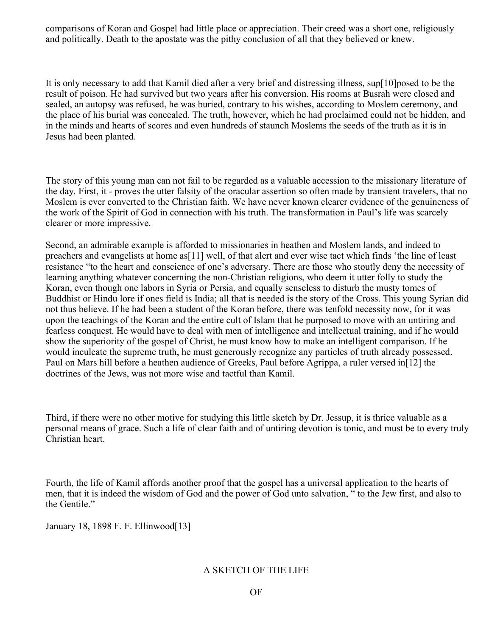comparisons of Koran and Gospel had little place or appreciation. Their creed was a short one, religiously and politically. Death to the apostate was the pithy conclusion of all that they believed or knew.

It is only necessary to add that Kamil died after a very brief and distressing illness, sup[10]posed to be the result of poison. He had survived but two years after his conversion. His rooms at Busrah were closed and sealed, an autopsy was refused, he was buried, contrary to his wishes, according to Moslem ceremony, and the place of his burial was concealed. The truth, however, which he had proclaimed could not be hidden, and in the minds and hearts of scores and even hundreds of staunch Moslems the seeds of the truth as it is in Jesus had been planted.

The story of this young man can not fail to be regarded as a valuable accession to the missionary literature of the day. First, it - proves the utter falsity of the oracular assertion so often made by transient travelers, that no Moslem is ever converted to the Christian faith. We have never known clearer evidence of the genuineness of the work of the Spirit of God in connection with his truth. The transformation in Paul's life was scarcely clearer or more impressive.

Second, an admirable example is afforded to missionaries in heathen and Moslem lands, and indeed to preachers and evangelists at home as[11] well, of that alert and ever wise tact which finds 'the line of least resistance "to the heart and conscience of one's adversary. There are those who stoutly deny the necessity of learning anything whatever concerning the non-Christian religions, who deem it utter folly to study the Koran, even though one labors in Syria or Persia, and equally senseless to disturb the musty tomes of Buddhist or Hindu lore if ones field is India; all that is needed is the story of the Cross. This young Syrian did not thus believe. If he had been a student of the Koran before, there was tenfold necessity now, for it was upon the teachings of the Koran and the entire cult of Islam that he purposed to move with an untiring and fearless conquest. He would have to deal with men of intelligence and intellectual training, and if he would show the superiority of the gospel of Christ, he must know how to make an intelligent comparison. If he would inculcate the supreme truth, he must generously recognize any particles of truth already possessed. Paul on Mars hill before a heathen audience of Greeks, Paul before Agrippa, a ruler versed in[12] the doctrines of the Jews, was not more wise and tactful than Kamil.

Third, if there were no other motive for studying this little sketch by Dr. Jessup, it is thrice valuable as a personal means of grace. Such a life of clear faith and of untiring devotion is tonic, and must be to every truly Christian heart.

Fourth, the life of Kamil affords another proof that the gospel has a universal application to the hearts of men, that it is indeed the wisdom of God and the power of God unto salvation, " to the Jew first, and also to the Gentile."

January 18, 1898 F. F. Ellinwood[13]

## A SKETCH OF THE LIFE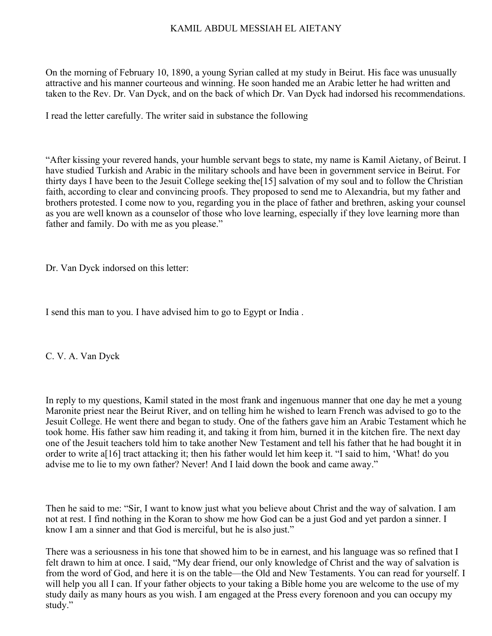### KAMIL ABDUL MESSIAH EL AIETANY

On the morning of February 10, 1890, a young Syrian called at my study in Beirut. His face was unusually attractive and his manner courteous and winning. He soon handed me an Arabic letter he had written and taken to the Rev. Dr. Van Dyck, and on the back of which Dr. Van Dyck had indorsed his recommendations.

I read the letter carefully. The writer said in substance the following

"After kissing your revered hands, your humble servant begs to state, my name is Kamil Aietany, of Beirut. I have studied Turkish and Arabic in the military schools and have been in government service in Beirut. For thirty days I have been to the Jesuit College seeking the[15] salvation of my soul and to follow the Christian faith, according to clear and convincing proofs. They proposed to send me to Alexandria, but my father and brothers protested. I come now to you, regarding you in the place of father and brethren, asking your counsel as you are well known as a counselor of those who love learning, especially if they love learning more than father and family. Do with me as you please."

Dr. Van Dyck indorsed on this letter:

I send this man to you. I have advised him to go to Egypt or India .

C. V. A. Van Dyck

In reply to my questions, Kamil stated in the most frank and ingenuous manner that one day he met a young Maronite priest near the Beirut River, and on telling him he wished to learn French was advised to go to the Jesuit College. He went there and began to study. One of the fathers gave him an Arabic Testament which he took home. His father saw him reading it, and taking it from him, burned it in the kitchen fire. The next day one of the Jesuit teachers told him to take another New Testament and tell his father that he had bought it in order to write a[16] tract attacking it; then his father would let him keep it. "I said to him, 'What! do you advise me to lie to my own father? Never! And I laid down the book and came away."

Then he said to me: "Sir, I want to know just what you believe about Christ and the way of salvation. I am not at rest. I find nothing in the Koran to show me how God can be a just God and yet pardon a sinner. I know I am a sinner and that God is merciful, but he is also just."

There was a seriousness in his tone that showed him to be in earnest, and his language was so refined that I felt drawn to him at once. I said, "My dear friend, our only knowledge of Christ and the way of salvation is from the word of God, and here it is on the table—the Old and New Testaments. You can read for yourself. I will help you all I can. If your father objects to your taking a Bible home you are welcome to the use of my study daily as many hours as you wish. I am engaged at the Press every forenoon and you can occupy my study."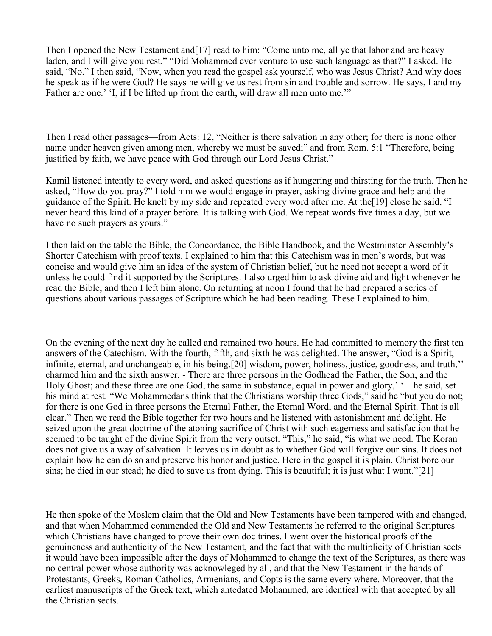Then I opened the New Testament and [17] read to him: "Come unto me, all ye that labor and are heavy laden, and I will give you rest." "Did Mohammed ever venture to use such language as that?" I asked. He said, "No." I then said, "Now, when you read the gospel ask yourself, who was Jesus Christ? And why does he speak as if he were God? He says he will give us rest from sin and trouble and sorrow. He says, I and my Father are one.' 'I, if I be lifted up from the earth, will draw all men unto me.'"

Then I read other passages—from Acts: 12, "Neither is there salvation in any other; for there is none other name under heaven given among men, whereby we must be saved;" and from Rom. 5:1 "Therefore, being justified by faith, we have peace with God through our Lord Jesus Christ."

Kamil listened intently to every word, and asked questions as if hungering and thirsting for the truth. Then he asked, "How do you pray?" I told him we would engage in prayer, asking divine grace and help and the guidance of the Spirit. He knelt by my side and repeated every word after me. At the[19] close he said, "I never heard this kind of a prayer before. It is talking with God. We repeat words five times a day, but we have no such prayers as yours."

I then laid on the table the Bible, the Concordance, the Bible Handbook, and the Westminster Assembly's Shorter Catechism with proof texts. I explained to him that this Catechism was in men's words, but was concise and would give him an idea of the system of Christian belief, but he need not accept a word of it unless he could find it supported by the Scriptures. I also urged him to ask divine aid and light whenever he read the Bible, and then I left him alone. On returning at noon I found that he had prepared a series of questions about various passages of Scripture which he had been reading. These I explained to him.

On the evening of the next day he called and remained two hours. He had committed to memory the first ten answers of the Catechism. With the fourth, fifth, and sixth he was delighted. The answer, "God is a Spirit, infinite, eternal, and unchangeable, in his being,[20] wisdom, power, holiness, justice, goodness, and truth,'' charmed him and the sixth answer, - There are three persons in the Godhead the Father, the Son, and the Holy Ghost; and these three are one God, the same in substance, equal in power and glory,' '—he said, set his mind at rest. "We Mohammedans think that the Christians worship three Gods," said he "but you do not; for there is one God in three persons the Eternal Father, the Eternal Word, and the Eternal Spirit. That is all clear." Then we read the Bible together for two hours and he listened with astonishment and delight. He seized upon the great doctrine of the atoning sacrifice of Christ with such eagerness and satisfaction that he seemed to be taught of the divine Spirit from the very outset. "This," he said, "is what we need. The Koran does not give us a way of salvation. It leaves us in doubt as to whether God will forgive our sins. It does not explain how he can do so and preserve his honor and justice. Here in the gospel it is plain. Christ bore our sins; he died in our stead; he died to save us from dying. This is beautiful; it is just what I want."[21]

He then spoke of the Moslem claim that the Old and New Testaments have been tampered with and changed, and that when Mohammed commended the Old and New Testaments he referred to the original Scriptures which Christians have changed to prove their own doc trines. I went over the historical proofs of the genuineness and authenticity of the New Testament, and the fact that with the multiplicity of Christian sects it would have been impossible after the days of Mohammed to change the text of the Scriptures, as there was no central power whose authority was acknowleged by all, and that the New Testament in the hands of Protestants, Greeks, Roman Catholics, Armenians, and Copts is the same every where. Moreover, that the earliest manuscripts of the Greek text, which antedated Mohammed, are identical with that accepted by all the Christian sects.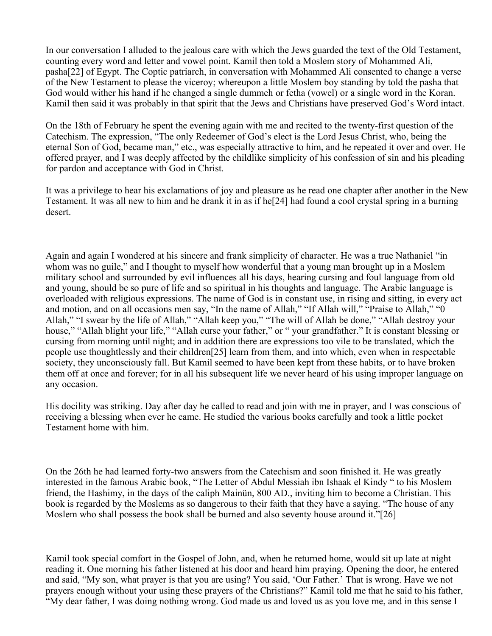In our conversation I alluded to the jealous care with which the Jews guarded the text of the Old Testament, counting every word and letter and vowel point. Kamil then told a Moslem story of Mohammed Ali, pasha[22] of Egypt. The Coptic patriarch, in conversation with Mohammed Ali consented to change a verse of the New Testament to please the viceroy; whereupon a little Moslem boy standing by told the pasha that God would wither his hand if he changed a single dummeh or fetha (vowel) or a single word in the Koran. Kamil then said it was probably in that spirit that the Jews and Christians have preserved God's Word intact.

On the 18th of February he spent the evening again with me and recited to the twenty-first question of the Catechism. The expression, "The only Redeemer of God's elect is the Lord Jesus Christ, who, being the eternal Son of God, became man," etc., was especially attractive to him, and he repeated it over and over. He offered prayer, and I was deeply affected by the childlike simplicity of his confession of sin and his pleading for pardon and acceptance with God in Christ.

It was a privilege to hear his exclamations of joy and pleasure as he read one chapter after another in the New Testament. It was all new to him and he drank it in as if he[24] had found a cool crystal spring in a burning desert.

Again and again I wondered at his sincere and frank simplicity of character. He was a true Nathaniel "in whom was no guile," and I thought to myself how wonderful that a young man brought up in a Moslem military school and surrounded by evil influences all his days, hearing cursing and foul language from old and young, should be so pure of life and so spiritual in his thoughts and language. The Arabic language is overloaded with religious expressions. The name of God is in constant use, in rising and sitting, in every act and motion, and on all occasions men say, "In the name of Allah," "If Allah will," "Praise to Allah," "0 Allah," "I swear by the life of Allah," "Allah keep you," "The will of Allah be done," "Allah destroy your house," "Allah blight your life," "Allah curse your father," or " your grandfather." It is constant blessing or cursing from morning until night; and in addition there are expressions too vile to be translated, which the people use thoughtlessly and their children[25] learn from them, and into which, even when in respectable society, they unconsciously fall. But Kamil seemed to have been kept from these habits, or to have broken them off at once and forever; for in all his subsequent life we never heard of his using improper language on any occasion.

His docility was striking. Day after day he called to read and join with me in prayer, and I was conscious of receiving a blessing when ever he came. He studied the various books carefully and took a little pocket Testament home with him.

On the 26th he had learned forty-two answers from the Catechism and soon finished it. He was greatly interested in the famous Arabic book, "The Letter of Abdul Messiah ibn Ishaak el Kindy " to his Moslem friend, the Hashimy, in the days of the caliph Mainün, 800 AD., inviting him to become a Christian. This book is regarded by the Moslems as so dangerous to their faith that they have a saying. "The house of any Moslem who shall possess the book shall be burned and also seventy house around it."[26]

Kamil took special comfort in the Gospel of John, and, when he returned home, would sit up late at night reading it. One morning his father listened at his door and heard him praying. Opening the door, he entered and said, "My son, what prayer is that you are using? You said, 'Our Father.' That is wrong. Have we not prayers enough without your using these prayers of the Christians?" Kamil told me that he said to his father, "My dear father, I was doing nothing wrong. God made us and loved us as you love me, and in this sense I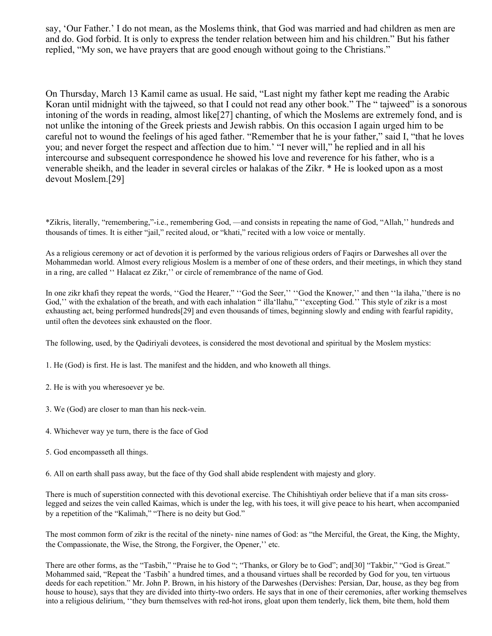say, 'Our Father.' I do not mean, as the Moslems think, that God was married and had children as men are and do. God forbid. It is only to express the tender relation between him and his children." But his father replied, "My son, we have prayers that are good enough without going to the Christians."

On Thursday, March 13 Kamil came as usual. He said, "Last night my father kept me reading the Arabic Koran until midnight with the tajweed, so that I could not read any other book." The " tajweed" is a sonorous intoning of the words in reading, almost like[27] chanting, of which the Moslems are extremely fond, and is not unlike the intoning of the Greek priests and Jewish rabbis. On this occasion I again urged him to be careful not to wound the feelings of his aged father. "Remember that he is your father," said I, "that he loves you; and never forget the respect and affection due to him.' "I never will," he replied and in all his intercourse and subsequent correspondence he showed his love and reverence for his father, who is a venerable sheikh, and the leader in several circles or halakas of the Zikr. \* He is looked upon as a most devout Moslem.[29]

\*Zikris, literally, "remembering,"-i.e., remembering God, —and consists in repeating the name of God, "Allah,'' hundreds and thousands of times. It is either "jail," recited aloud, or "khati," recited with a low voice or mentally.

As a religious ceremony or act of devotion it is performed by the various religious orders of Faqirs or Darweshes all over the Mohammedan world. Almost every religious Moslem is a member of one of these orders, and their meetings, in which they stand in a ring, are called '' Halacat ez Zikr,'' or circle of remembrance of the name of God.

In one zikr khafi they repeat the words, ''God the Hearer," ''God the Seer,'' ''God the Knower,'' and then ''la ilaha,''there is no God," with the exhalation of the breath, and with each inhalation " illa'llahu," "excepting God." This style of zikr is a most exhausting act, being performed hundreds[29] and even thousands of times, beginning slowly and ending with fearful rapidity, until often the devotees sink exhausted on the floor.

The following, used, by the Qadiriyali devotees, is considered the most devotional and spiritual by the Moslem mystics:

1. He (God) is first. He is last. The manifest and the hidden, and who knoweth all things.

- 2. He is with you wheresoever ye be.
- 3. We (God) are closer to man than his neck-vein.
- 4. Whichever way ye turn, there is the face of God
- 5. God encompasseth all things.

6. All on earth shall pass away, but the face of thy God shall abide resplendent with majesty and glory.

There is much of superstition connected with this devotional exercise. The Chihishtiyah order believe that if a man sits crosslegged and seizes the vein called Kaimas, which is under the leg, with his toes, it will give peace to his heart, when accompanied by a repetition of the "Kalimah," "There is no deity but God."

The most common form of zikr is the recital of the ninety- nine names of God: as "the Merciful, the Great, the King, the Mighty, the Compassionate, the Wise, the Strong, the Forgiver, the Opener,'' etc.

There are other forms, as the "Tasbih," "Praise he to God "; "Thanks, or Glory be to God"; and[30] "Takbir," "God is Great." Mohammed said, "Repeat the 'Tasbih' a hundred times, and a thousand virtues shall be recorded by God for you, ten virtuous deeds for each repetition." Mr. John P. Brown, in his history of the Darweshes (Dervishes: Persian, Dar, house, as they beg from house to house), says that they are divided into thirty-two orders. He says that in one of their ceremonies, after working themselves into a religious delirium, ''they burn themselves with red-hot irons, gloat upon them tenderly, lick them, bite them, hold them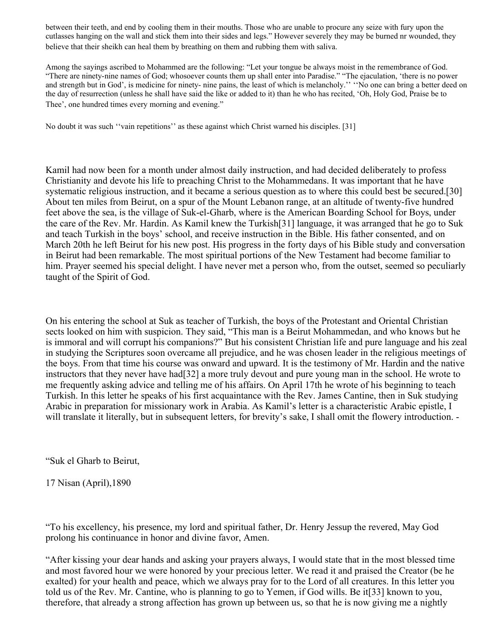between their teeth, and end by cooling them in their mouths. Those who are unable to procure any seize with fury upon the cutlasses hanging on the wall and stick them into their sides and legs." However severely they may be burned nr wounded, they believe that their sheikh can heal them by breathing on them and rubbing them with saliva.

Among the sayings ascribed to Mohammed are the following: "Let your tongue be always moist in the remembrance of God. "There are ninety-nine names of God; whosoever counts them up shall enter into Paradise." "The ejaculation, 'there is no power and strength but in God', is medicine for ninety- nine pains, the least of which is melancholy.'' ''No one can bring a better deed on the day of resurrection (unless he shall have said the like or added to it) than he who has recited, 'Oh, Holy God, Praise be to Thee', one hundred times every morning and evening."

No doubt it was such ''vain repetitions'' as these against which Christ warned his disciples. [31]

Kamil had now been for a month under almost daily instruction, and had decided deliberately to profess Christianity and devote his life to preaching Christ to the Mohammedans. It was important that he have systematic religious instruction, and it became a serious question as to where this could best be secured.[30] About ten miles from Beirut, on a spur of the Mount Lebanon range, at an altitude of twenty-five hundred feet above the sea, is the village of Suk-el-Gharb, where is the American Boarding School for Boys, under the care of the Rev. Mr. Hardin. As Kamil knew the Turkish[31] language, it was arranged that he go to Suk and teach Turkish in the boys' school, and receive instruction in the Bible. His father consented, and on March 20th he left Beirut for his new post. His progress in the forty days of his Bible study and conversation in Beirut had been remarkable. The most spiritual portions of the New Testament had become familiar to him. Prayer seemed his special delight. I have never met a person who, from the outset, seemed so peculiarly taught of the Spirit of God.

On his entering the school at Suk as teacher of Turkish, the boys of the Protestant and Oriental Christian sects looked on him with suspicion. They said, "This man is a Beirut Mohammedan, and who knows but he is immoral and will corrupt his companions?" But his consistent Christian life and pure language and his zeal in studying the Scriptures soon overcame all prejudice, and he was chosen leader in the religious meetings of the boys. From that time his course was onward and upward. It is the testimony of Mr. Hardin and the native instructors that they never have had[32] a more truly devout and pure young man in the school. He wrote to me frequently asking advice and telling me of his affairs. On April 17th he wrote of his beginning to teach Turkish. In this letter he speaks of his first acquaintance with the Rev. James Cantine, then in Suk studying Arabic in preparation for missionary work in Arabia. As Kamil's letter is a characteristic Arabic epistle, I will translate it literally, but in subsequent letters, for brevity's sake, I shall omit the flowery introduction. -

"Suk el Gharb to Beirut,

17 Nisan (April),1890

"To his excellency, his presence, my lord and spiritual father, Dr. Henry Jessup the revered, May God prolong his continuance in honor and divine favor, Amen.

"After kissing your dear hands and asking your prayers always, I would state that in the most blessed time and most favored hour we were honored by your precious letter. We read it and praised the Creator (be he exalted) for your health and peace, which we always pray for to the Lord of all creatures. In this letter you told us of the Rev. Mr. Cantine, who is planning to go to Yemen, if God wills. Be it[33] known to you, therefore, that already a strong affection has grown up between us, so that he is now giving me a nightly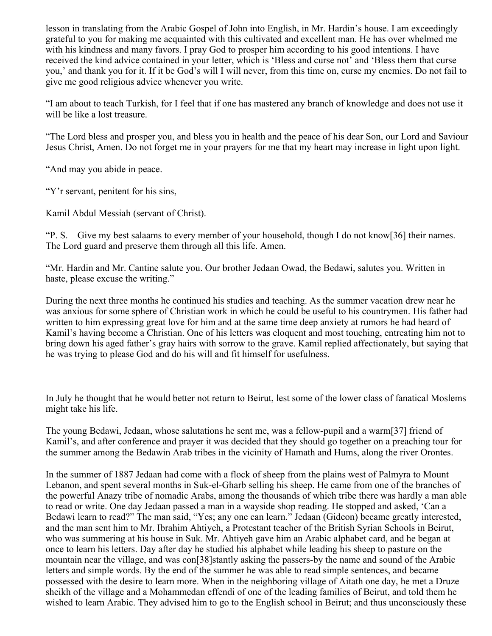lesson in translating from the Arabic Gospel of John into English, in Mr. Hardin's house. I am exceedingly grateful to you for making me acquainted with this cultivated and excellent man. He has over whelmed me with his kindness and many favors. I pray God to prosper him according to his good intentions. I have received the kind advice contained in your letter, which is 'Bless and curse not' and 'Bless them that curse you,' and thank you for it. If it be God's will I will never, from this time on, curse my enemies. Do not fail to give me good religious advice whenever you write.

"I am about to teach Turkish, for I feel that if one has mastered any branch of knowledge and does not use it will be like a lost treasure.

"The Lord bless and prosper you, and bless you in health and the peace of his dear Son, our Lord and Saviour Jesus Christ, Amen. Do not forget me in your prayers for me that my heart may increase in light upon light.

"And may you abide in peace.

"Y'r servant, penitent for his sins,

Kamil Abdul Messiah (servant of Christ).

"P. S.—Give my best salaams to every member of your household, though I do not know[36] their names. The Lord guard and preserve them through all this life. Amen.

"Mr. Hardin and Mr. Cantine salute you. Our brother Jedaan Owad, the Bedawi, salutes you. Written in haste, please excuse the writing."

During the next three months he continued his studies and teaching. As the summer vacation drew near he was anxious for some sphere of Christian work in which he could be useful to his countrymen. His father had written to him expressing great love for him and at the same time deep anxiety at rumors he had heard of Kamil's having become a Christian. One of his letters was eloquent and most touching, entreating him not to bring down his aged father's gray hairs with sorrow to the grave. Kamil replied affectionately, but saying that he was trying to please God and do his will and fit himself for usefulness.

In July he thought that he would better not return to Beirut, lest some of the lower class of fanatical Moslems might take his life.

The young Bedawi, Jedaan, whose salutations he sent me, was a fellow-pupil and a warm[37] friend of Kamil's, and after conference and prayer it was decided that they should go together on a preaching tour for the summer among the Bedawin Arab tribes in the vicinity of Hamath and Hums, along the river Orontes.

In the summer of 1887 Jedaan had come with a flock of sheep from the plains west of Palmyra to Mount Lebanon, and spent several months in Suk-el-Gharb selling his sheep. He came from one of the branches of the powerful Anazy tribe of nomadic Arabs, among the thousands of which tribe there was hardly a man able to read or write. One day Jedaan passed a man in a wayside shop reading. He stopped and asked, 'Can a Bedawi learn to read?" The man said, "Yes; any one can learn." Jedaan (Gideon) became greatly interested, and the man sent him to Mr. Ibrahim Ahtiyeh, a Protestant teacher of the British Syrian Schools in Beirut, who was summering at his house in Suk. Mr. Ahtiyeh gave him an Arabic alphabet card, and he began at once to learn his letters. Day after day he studied his alphabet while leading his sheep to pasture on the mountain near the village, and was con[38]stantly asking the passers-by the name and sound of the Arabic letters and simple words. By the end of the summer he was able to read simple sentences, and became possessed with the desire to learn more. When in the neighboring village of Aitath one day, he met a Druze sheikh of the village and a Mohammedan effendi of one of the leading families of Beirut, and told them he wished to learn Arabic. They advised him to go to the English school in Beirut; and thus unconsciously these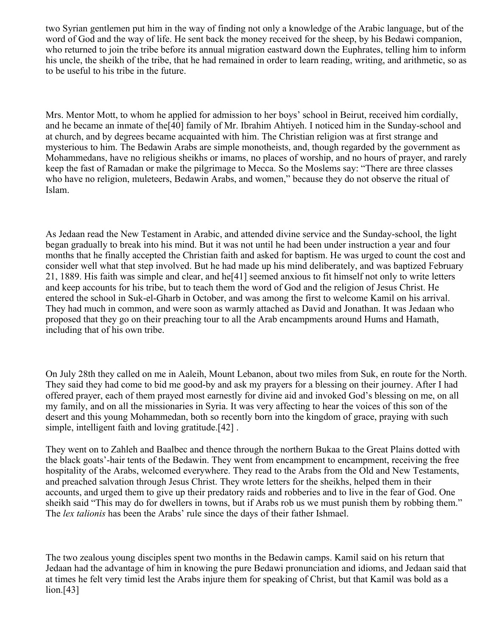two Syrian gentlemen put him in the way of finding not only a knowledge of the Arabic language, but of the word of God and the way of life. He sent back the money received for the sheep, by his Bedawi companion, who returned to join the tribe before its annual migration eastward down the Euphrates, telling him to inform his uncle, the sheikh of the tribe, that he had remained in order to learn reading, writing, and arithmetic, so as to be useful to his tribe in the future.

Mrs. Mentor Mott, to whom he applied for admission to her boys' school in Beirut, received him cordially, and he became an inmate of the[40] family of Mr. Ibrahim Ahtiyeh. I noticed him in the Sunday-school and at church, and by degrees became acquainted with him. The Christian religion was at first strange and mysterious to him. The Bedawin Arabs are simple monotheists, and, though regarded by the government as Mohammedans, have no religious sheikhs or imams, no places of worship, and no hours of prayer, and rarely keep the fast of Ramadan or make the pilgrimage to Mecca. So the Moslems say: "There are three classes who have no religion, muleteers, Bedawin Arabs, and women," because they do not observe the ritual of Islam.

As Jedaan read the New Testament in Arabic, and attended divine service and the Sunday-school, the light began gradually to break into his mind. But it was not until he had been under instruction a year and four months that he finally accepted the Christian faith and asked for baptism. He was urged to count the cost and consider well what that step involved. But he had made up his mind deliberately, and was baptized February 21, 1889. His faith was simple and clear, and he[41] seemed anxious to fit himself not only to write letters and keep accounts for his tribe, but to teach them the word of God and the religion of Jesus Christ. He entered the school in Suk-el-Gharb in October, and was among the first to welcome Kamil on his arrival. They had much in common, and were soon as warmly attached as David and Jonathan. It was Jedaan who proposed that they go on their preaching tour to all the Arab encampments around Hums and Hamath, including that of his own tribe.

On July 28th they called on me in Aaleih, Mount Lebanon, about two miles from Suk, en route for the North. They said they had come to bid me good-by and ask my prayers for a blessing on their journey. After I had offered prayer, each of them prayed most earnestly for divine aid and invoked God's blessing on me, on all my family, and on all the missionaries in Syria. It was very affecting to hear the voices of this son of the desert and this young Mohammedan, both so recently born into the kingdom of grace, praying with such simple, intelligent faith and loving gratitude.[42] .

They went on to Zahleh and Baalbec and thence through the northern Bukaa to the Great Plains dotted with the black goats'-hair tents of the Bedawin. They went from encampment to encampment, receiving the free hospitality of the Arabs, welcomed everywhere. They read to the Arabs from the Old and New Testaments, and preached salvation through Jesus Christ. They wrote letters for the sheikhs, helped them in their accounts, and urged them to give up their predatory raids and robberies and to live in the fear of God. One sheikh said "This may do for dwellers in towns, but if Arabs rob us we must punish them by robbing them." The *lex talionis* has been the Arabs' rule since the days of their father Ishmael.

The two zealous young disciples spent two months in the Bedawin camps. Kamil said on his return that Jedaan had the advantage of him in knowing the pure Bedawi pronunciation and idioms, and Jedaan said that at times he felt very timid lest the Arabs injure them for speaking of Christ, but that Kamil was bold as a lion.[43]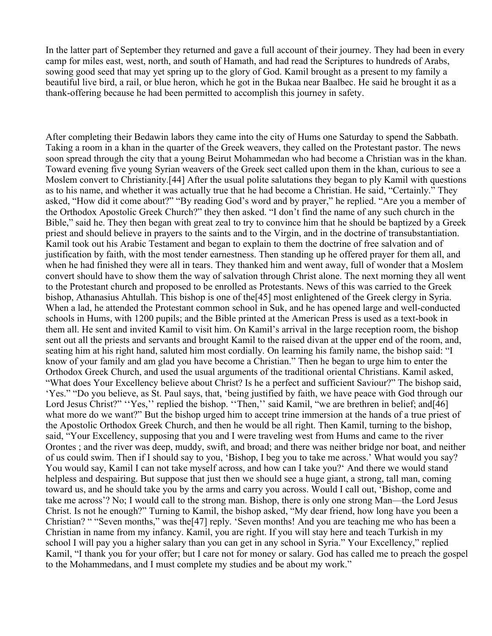In the latter part of September they returned and gave a full account of their journey. They had been in every camp for miles east, west, north, and south of Hamath, and had read the Scriptures to hundreds of Arabs, sowing good seed that may yet spring up to the glory of God. Kamil brought as a present to my family a beautiful live bird, a rail, or blue heron, which he got in the Bukaa near Baalbec. He said he brought it as a thank-offering because he had been permitted to accomplish this journey in safety.

After completing their Bedawin labors they came into the city of Hums one Saturday to spend the Sabbath. Taking a room in a khan in the quarter of the Greek weavers, they called on the Protestant pastor. The news soon spread through the city that a young Beirut Mohammedan who had become a Christian was in the khan. Toward evening five young Syrian weavers of the Greek sect called upon them in the khan, curious to see a Moslem convert to Christianity.[44] After the usual polite salutations they began to ply Kamil with questions as to his name, and whether it was actually true that he had become a Christian. He said, "Certainly." They asked, "How did it come about?" "By reading God's word and by prayer," he replied. "Are you a member of the Orthodox Apostolic Greek Church?" they then asked. "I don't find the name of any such church in the Bible," said he. They then began with great zeal to try to convince him that he should be baptized by a Greek priest and should believe in prayers to the saints and to the Virgin, and in the doctrine of transubstantiation. Kamil took out his Arabic Testament and began to explain to them the doctrine of free salvation and of justification by faith, with the most tender earnestness. Then standing up he offered prayer for them all, and when he had finished they were all in tears. They thanked him and went away, full of wonder that a Moslem convert should have to show them the way of salvation through Christ alone. The next morning they all went to the Protestant church and proposed to be enrolled as Protestants. News of this was carried to the Greek bishop, Athanasius Ahtullah. This bishop is one of the[45] most enlightened of the Greek clergy in Syria. When a lad, he attended the Protestant common school in Suk, and he has opened large and well-conducted schools in Hums, with 1200 pupils; and the Bible printed at the American Press is used as a text-book in them all. He sent and invited Kamil to visit him. On Kamil's arrival in the large reception room, the bishop sent out all the priests and servants and brought Kamil to the raised divan at the upper end of the room, and, seating him at his right hand, saluted him most cordially. On learning his family name, the bishop said: "I know of your family and am glad you have become a Christian." Then he began to urge him to enter the Orthodox Greek Church, and used the usual arguments of the traditional oriental Christians. Kamil asked, "What does Your Excellency believe about Christ? Is he a perfect and sufficient Saviour?" The bishop said, 'Yes." "Do you believe, as St. Paul says, that, 'being justified by faith, we have peace with God through our Lord Jesus Christ?" "Yes," replied the bishop. "Then," said Kamil, "we are brethren in belief; and[46] what more do we want?" But the bishop urged him to accept trine immersion at the hands of a true priest of the Apostolic Orthodox Greek Church, and then he would be all right. Then Kamil, turning to the bishop, said, "Your Excellency, supposing that you and I were traveling west from Hums and came to the river Orontes ; and the river was deep, muddy, swift, and broad; and there was neither bridge nor boat, and neither of us could swim. Then if I should say to you, 'Bishop, I beg you to take me across.' What would you say? You would say, Kamil I can not take myself across, and how can I take you?' And there we would stand helpless and despairing. But suppose that just then we should see a huge giant, a strong, tall man, coming toward us, and he should take you by the arms and carry you across. Would I call out, 'Bishop, come and take me across'? No; I would call to the strong man. Bishop, there is only one strong Man—the Lord Jesus Christ. Is not he enough?" Turning to Kamil, the bishop asked, "My dear friend, how long have you been a Christian? " "Seven months," was the[47] reply. 'Seven months! And you are teaching me who has been a Christian in name from my infancy. Kamil, you are right. If you will stay here and teach Turkish in my school I will pay you a higher salary than you can get in any school in Syria." Your Excellency," replied Kamil, "I thank you for your offer; but I care not for money or salary. God has called me to preach the gospel to the Mohammedans, and I must complete my studies and be about my work."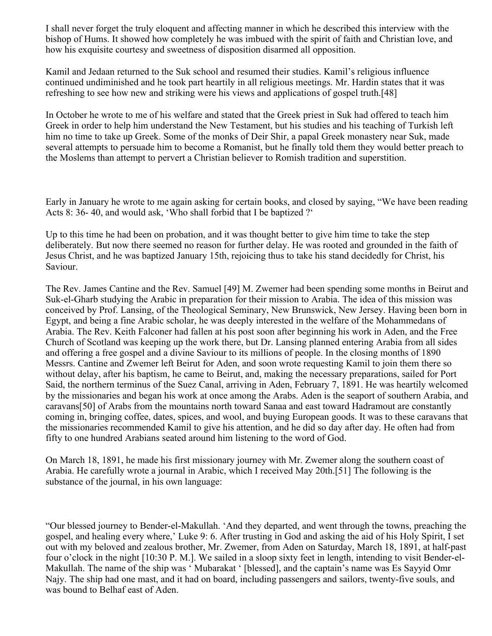I shall never forget the truly eloquent and affecting manner in which he described this interview with the bishop of Hums. It showed how completely he was imbued with the spirit of faith and Christian love, and how his exquisite courtesy and sweetness of disposition disarmed all opposition.

Kamil and Jedaan returned to the Suk school and resumed their studies. Kamil's religious influence continued undiminished and he took part heartily in all religious meetings. Mr. Hardin states that it was refreshing to see how new and striking were his views and applications of gospel truth.[48]

In October he wrote to me of his welfare and stated that the Greek priest in Suk had offered to teach him Greek in order to help him understand the New Testament, but his studies and his teaching of Turkish left him no time to take up Greek. Some of the monks of Deir Shir, a papal Greek monastery near Suk, made several attempts to persuade him to become a Romanist, but he finally told them they would better preach to the Moslems than attempt to pervert a Christian believer to Romish tradition and superstition.

Early in January he wrote to me again asking for certain books, and closed by saying, "We have been reading Acts 8: 36- 40, and would ask, 'Who shall forbid that I be baptized ?'

Up to this time he had been on probation, and it was thought better to give him time to take the step deliberately. But now there seemed no reason for further delay. He was rooted and grounded in the faith of Jesus Christ, and he was baptized January 15th, rejoicing thus to take his stand decidedly for Christ, his Saviour.

The Rev. James Cantine and the Rev. Samuel [49] M. Zwemer had been spending some months in Beirut and Suk-el-Gharb studying the Arabic in preparation for their mission to Arabia. The idea of this mission was conceived by Prof. Lansing, of the Theological Seminary, New Brunswick, New Jersey. Having been born in Egypt, and being a fine Arabic scholar, he was deeply interested in the welfare of the Mohammedans of Arabia. The Rev. Keith Falconer had fallen at his post soon after beginning his work in Aden, and the Free Church of Scotland was keeping up the work there, but Dr. Lansing planned entering Arabia from all sides and offering a free gospel and a divine Saviour to its millions of people. In the closing months of 1890 Messrs. Cantine and Zwemer left Beirut for Aden, and soon wrote requesting Kamil to join them there so without delay, after his baptism, he came to Beirut, and, making the necessary preparations, sailed for Port Said, the northern terminus of the Suez Canal, arriving in Aden, February 7, 1891. He was heartily welcomed by the missionaries and began his work at once among the Arabs. Aden is the seaport of southern Arabia, and caravans[50] of Arabs from the mountains north toward Sanaa and east toward Hadramout are constantly coming in, bringing coffee, dates, spices, and wool, and buying European goods. It was to these caravans that the missionaries recommended Kamil to give his attention, and he did so day after day. He often had from fifty to one hundred Arabians seated around him listening to the word of God.

On March 18, 1891, he made his first missionary journey with Mr. Zwemer along the southern coast of Arabia. He carefully wrote a journal in Arabic, which I received May 20th.[51] The following is the substance of the journal, in his own language:

"Our blessed journey to Bender-el-Makullah. 'And they departed, and went through the towns, preaching the gospel, and healing every where,' Luke 9: 6. After trusting in God and asking the aid of his Holy Spirit, I set out with my beloved and zealous brother, Mr. Zwemer, from Aden on Saturday, March 18, 1891, at half-past four o'clock in the night [10:30 P. M.]. We sailed in a sloop sixty feet in length, intending to visit Bender-el-Makullah. The name of the ship was ' Mubarakat ' [blessed], and the captain's name was Es Sayyid Omr Najy. The ship had one mast, and it had on board, including passengers and sailors, twenty-five souls, and was bound to Belhaf east of Aden.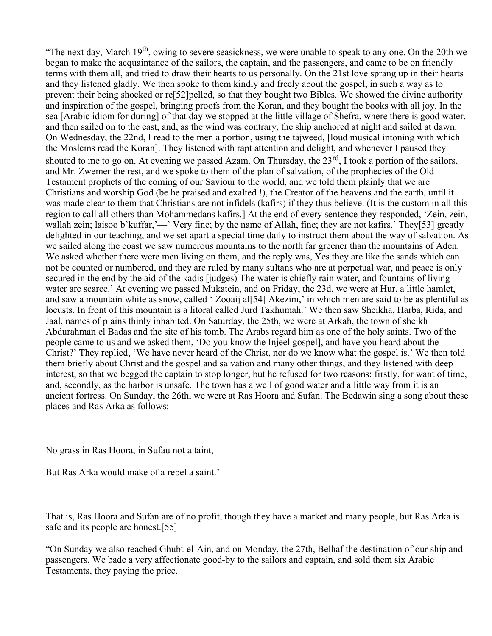"The next day, March  $19<sup>th</sup>$ , owing to severe seasickness, we were unable to speak to any one. On the 20th we began to make the acquaintance of the sailors, the captain, and the passengers, and came to be on friendly terms with them all, and tried to draw their hearts to us personally. On the 21st love sprang up in their hearts and they listened gladly. We then spoke to them kindly and freely about the gospel, in such a way as to prevent their being shocked or re[52]pelled, so that they bought two Bibles. We showed the divine authority and inspiration of the gospel, bringing proofs from the Koran, and they bought the books with all joy. In the sea [Arabic idiom for during] of that day we stopped at the little village of Shefra, where there is good water, and then sailed on to the east, and, as the wind was contrary, the ship anchored at night and sailed at dawn. On Wednesday, the 22nd, I read to the men a portion, using the tajweed, [loud musical intoning with which the Moslems read the Koran]. They listened with rapt attention and delight, and whenever I paused they shouted to me to go on. At evening we passed Azam. On Thursday, the 23<sup>rd</sup>, I took a portion of the sailors, and Mr. Zwemer the rest, and we spoke to them of the plan of salvation, of the prophecies of the Old Testament prophets of the coming of our Saviour to the world, and we told them plainly that we are Christians and worship God (be he praised and exalted !), the Creator of the heavens and the earth, until it was made clear to them that Christians are not infidels (kafirs) if they thus believe. (It is the custom in all this region to call all others than Mohammedans kafirs.] At the end of every sentence they responded, 'Zein, zein, wallah zein; laisoo b'kuffar,'—' Very fine; by the name of Allah, fine; they are not kafirs.' They[53] greatly delighted in our teaching, and we set apart a special time daily to instruct them about the way of salvation. As we sailed along the coast we saw numerous mountains to the north far greener than the mountains of Aden. We asked whether there were men living on them, and the reply was, Yes they are like the sands which can not be counted or numbered, and they are ruled by many sultans who are at perpetual war, and peace is only secured in the end by the aid of the kadis [judges) The water is chiefly rain water, and fountains of living water are scarce.' At evening we passed Mukatein, and on Friday, the 23d, we were at Hur, a little hamlet, and saw a mountain white as snow, called ' Zooaij al[54] Akezim,' in which men are said to be as plentiful as locusts. In front of this mountain is a litoral called Jurd Takhumah.' We then saw Sheikha, Harba, Rida, and Jaal, names of plains thinly inhabited. On Saturday, the 25th, we were at Arkah, the town of sheikh Abdurahman el Badas and the site of his tomb. The Arabs regard him as one of the holy saints. Two of the people came to us and we asked them, 'Do you know the Injeel gospel], and have you heard about the Christ?' They replied, 'We have never heard of the Christ, nor do we know what the gospel is.' We then told them briefly about Christ and the gospel and salvation and many other things, and they listened with deep interest, so that we begged the captain to stop longer, but he refused for two reasons: firstly, for want of time, and, secondly, as the harbor is unsafe. The town has a well of good water and a little way from it is an ancient fortress. On Sunday, the 26th, we were at Ras Hoora and Sufan. The Bedawin sing a song about these places and Ras Arka as follows:

No grass in Ras Hoora, in Sufau not a taint,

But Ras Arka would make of a rebel a saint.'

That is, Ras Hoora and Sufan are of no profit, though they have a market and many people, but Ras Arka is safe and its people are honest.[55]

"On Sunday we also reached Ghubt-el-Ain, and on Monday, the 27th, Belhaf the destination of our ship and passengers. We bade a very affectionate good-by to the sailors and captain, and sold them six Arabic Testaments, they paying the price.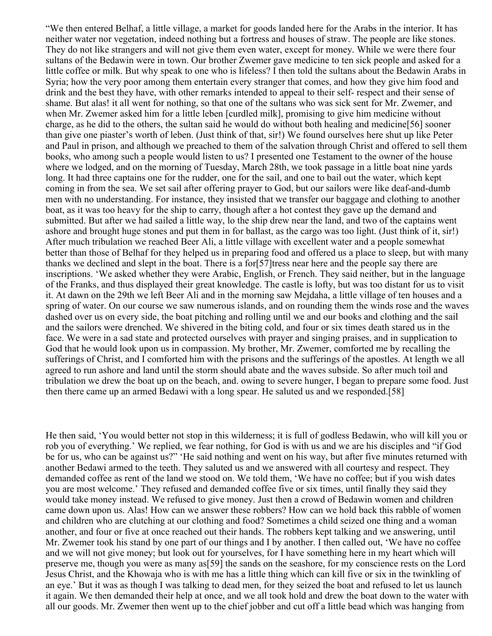"We then entered Belhaf, a little village, a market for goods landed here for the Arabs in the interior. It has neither water nor vegetation, indeed nothing but a fortress and houses of straw. The people are like stones. They do not like strangers and will not give them even water, except for money. While we were there four sultans of the Bedawin were in town. Our brother Zwemer gave medicine to ten sick people and asked for a little coffee or milk. But why speak to one who is lifeless? I then told the sultans about the Bedawin Arabs in Syria; how the very poor among them entertain every stranger that comes, and how they give him food and drink and the best they have, with other remarks intended to appeal to their self- respect and their sense of shame. But alas! it all went for nothing, so that one of the sultans who was sick sent for Mr. Zwemer, and when Mr. Zwemer asked him for a little leben [curdled milk], promising to give him medicine without charge, as he did to the others, the sultan said he would do without both healing and medicine[56] sooner than give one piaster's worth of leben. (Just think of that, sir!) We found ourselves here shut up like Peter and Paul in prison, and although we preached to them of the salvation through Christ and offered to sell them books, who among such a people would listen to us? I presented one Testament to the owner of the house where we lodged, and on the morning of Tuesday, March 28th, we took passage in a little boat nine yards long. It had three captains one for the rudder, one for the sail, and one to bail out the water, which kept coming in from the sea. We set sail after offering prayer to God, but our sailors were like deaf-and-dumb men with no understanding. For instance, they insisted that we transfer our baggage and clothing to another boat, as it was too heavy for the ship to carry, though after a hot contest they gave up the demand and submitted. But after we had sailed a little way, lo the ship drew near the land, and two of the captains went ashore and brought huge stones and put them in for ballast, as the cargo was too light. (Just think of it, sir!) After much tribulation we reached Beer Ali, a little village with excellent water and a people somewhat better than those of Belhaf for they helped us in preparing food and offered us a place to sleep, but with many thanks we declined and slept in the boat. There is a for[57]tress near here and the people say there are inscriptions. 'We asked whether they were Arabic, English, or French. They said neither, but in the language of the Franks, and thus displayed their great knowledge. The castle is lofty, but was too distant for us to visit it. At dawn on the 29th we left Beer Ali and in the morning saw Mejdaha, a little village of ten houses and a spring of water. On our course we saw numerous islands, and on rounding them the winds rose and the waves dashed over us on every side, the boat pitching and rolling until we and our books and clothing and the sail and the sailors were drenched. We shivered in the biting cold, and four or six times death stared us in the face. We were in a sad state and protected ourselves with prayer and singing praises, and in supplication to God that he would look upon us in compassion. My brother, Mr. Zwemer, comforted me by recalling the sufferings of Christ, and I comforted him with the prisons and the sufferings of the apostles. At length we all agreed to run ashore and land until the storm should abate and the waves subside. So after much toil and tribulation we drew the boat up on the beach, and. owing to severe hunger, I began to prepare some food. Just then there came up an armed Bedawi with a long spear. He saluted us and we responded.[58]

He then said, 'You would better not stop in this wilderness; it is full of godless Bedawin, who will kill you or rob you of everything.' We replied, we fear nothing, for God is with us and we are his disciples and "if God be for us, who can be against us?" 'He said nothing and went on his way, but after five minutes returned with another Bedawi armed to the teeth. They saluted us and we answered with all courtesy and respect. They demanded coffee as rent of the land we stood on. We told them, 'We have no coffee; but if you wish dates you are most welcome.' They refused and demanded coffee five or six times, until finally they said they would take money instead. We refused to give money. Just then a crowd of Bedawin women and children came down upon us. Alas! How can we answer these robbers? How can we hold back this rabble of women and children who are clutching at our clothing and food? Sometimes a child seized one thing and a woman another, and four or five at once reached out their hands. The robbers kept talking and we answering, until Mr. Zwemer took his stand by one part of our things and I by another. I then called out, 'We have no coffee and we will not give money; but look out for yourselves, for I have something here in my heart which will preserve me, though you were as many as[59] the sands on the seashore, for my conscience rests on the Lord Jesus Christ, and the Khowaja who is with me has a little thing which can kill five or six in the twinkling of an eye.' But it was as though I was talking to dead men, for they seized the boat and refused to let us launch it again. We then demanded their help at once, and we all took hold and drew the boat down to the water with all our goods. Mr. Zwemer then went up to the chief jobber and cut off a little bead which was hanging from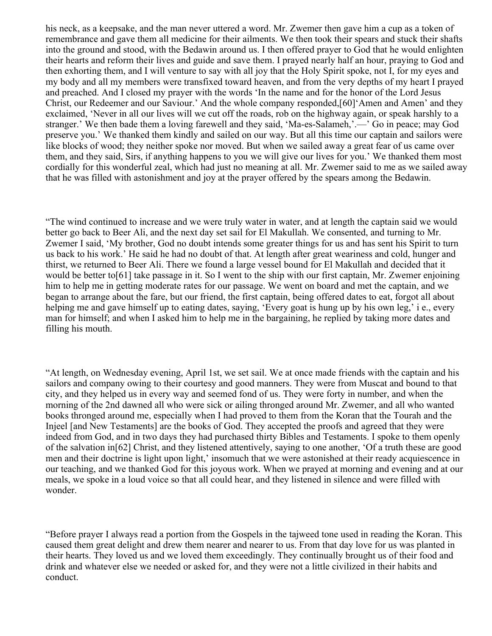his neck, as a keepsake, and the man never uttered a word. Mr. Zwemer then gave him a cup as a token of remembrance and gave them all medicine for their ailments. We then took their spears and stuck their shafts into the ground and stood, with the Bedawin around us. I then offered prayer to God that he would enlighten their hearts and reform their lives and guide and save them. I prayed nearly half an hour, praying to God and then exhorting them, and I will venture to say with all joy that the Holy Spirit spoke, not I, for my eyes and my body and all my members were transfixed toward heaven, and from the very depths of my heart I prayed and preached. And I closed my prayer with the words 'In the name and for the honor of the Lord Jesus Christ, our Redeemer and our Saviour.' And the whole company responded,[60]'Amen and Amen' and they exclaimed, 'Never in all our lives will we cut off the roads, rob on the highway again, or speak harshly to a stranger.' We then bade them a loving farewell and they said, 'Ma-es-Salameh,'.—' Go in peace; may God preserve you.' We thanked them kindly and sailed on our way. But all this time our captain and sailors were like blocks of wood; they neither spoke nor moved. But when we sailed away a great fear of us came over them, and they said, Sirs, if anything happens to you we will give our lives for you.' We thanked them most cordially for this wonderful zeal, which had just no meaning at all. Mr. Zwemer said to me as we sailed away that he was filled with astonishment and joy at the prayer offered by the spears among the Bedawin.

"The wind continued to increase and we were truly water in water, and at length the captain said we would better go back to Beer Ali, and the next day set sail for El Makullah. We consented, and turning to Mr. Zwemer I said, 'My brother, God no doubt intends some greater things for us and has sent his Spirit to turn us back to his work.' He said he had no doubt of that. At length after great weariness and cold, hunger and thirst, we returned to Beer Ali. There we found a large vessel bound for El Makullah and decided that it would be better to[61] take passage in it. So I went to the ship with our first captain, Mr. Zwemer enjoining him to help me in getting moderate rates for our passage. We went on board and met the captain, and we began to arrange about the fare, but our friend, the first captain, being offered dates to eat, forgot all about helping me and gave himself up to eating dates, saying, 'Every goat is hung up by his own leg,' i e., every man for himself; and when I asked him to help me in the bargaining, he replied by taking more dates and filling his mouth.

"At length, on Wednesday evening, April 1st, we set sail. We at once made friends with the captain and his sailors and company owing to their courtesy and good manners. They were from Muscat and bound to that city, and they helped us in every way and seemed fond of us. They were forty in number, and when the morning of the 2nd dawned all who were sick or ailing thronged around Mr. Zwemer, and all who wanted books thronged around me, especially when I had proved to them from the Koran that the Tourah and the Injeel [and New Testaments] are the books of God. They accepted the proofs and agreed that they were indeed from God, and in two days they had purchased thirty Bibles and Testaments. I spoke to them openly of the salvation in[62] Christ, and they listened attentively, saying to one another, 'Of a truth these are good men and their doctrine is light upon light,' insomuch that we were astonished at their ready acquiescence in our teaching, and we thanked God for this joyous work. When we prayed at morning and evening and at our meals, we spoke in a loud voice so that all could hear, and they listened in silence and were filled with wonder.

"Before prayer I always read a portion from the Gospels in the tajweed tone used in reading the Koran. This caused them great delight and drew them nearer and nearer to us. From that day love for us was planted in their hearts. They loved us and we loved them exceedingly. They continually brought us of their food and drink and whatever else we needed or asked for, and they were not a little civilized in their habits and conduct.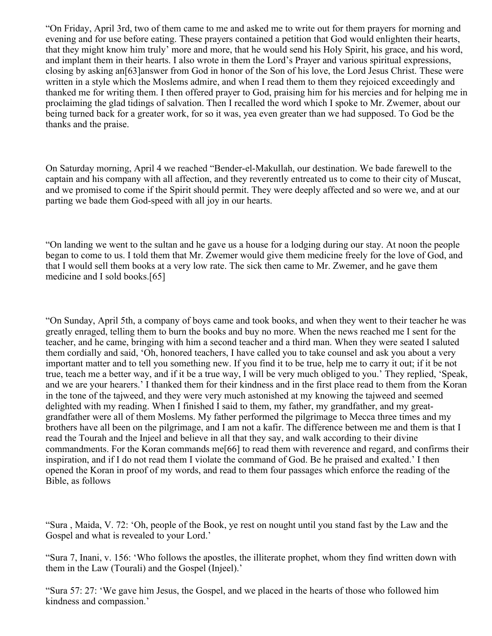"On Friday, April 3rd, two of them came to me and asked me to write out for them prayers for morning and evening and for use before eating. These prayers contained a petition that God would enlighten their hearts, that they might know him truly' more and more, that he would send his Holy Spirit, his grace, and his word, and implant them in their hearts. I also wrote in them the Lord's Prayer and various spiritual expressions, closing by asking an[63]answer from God in honor of the Son of his love, the Lord Jesus Christ. These were written in a style which the Moslems admire, and when I read them to them they rejoiced exceedingly and thanked me for writing them. I then offered prayer to God, praising him for his mercies and for helping me in proclaiming the glad tidings of salvation. Then I recalled the word which I spoke to Mr. Zwemer, about our being turned back for a greater work, for so it was, yea even greater than we had supposed. To God be the thanks and the praise.

On Saturday morning, April 4 we reached "Bender-el-Makullah, our destination. We bade farewell to the captain and his company with all affection, and they reverently entreated us to come to their city of Muscat, and we promised to come if the Spirit should permit. They were deeply affected and so were we, and at our parting we bade them God-speed with all joy in our hearts.

"On landing we went to the sultan and he gave us a house for a lodging during our stay. At noon the people began to come to us. I told them that Mr. Zwemer would give them medicine freely for the love of God, and that I would sell them books at a very low rate. The sick then came to Mr. Zwemer, and he gave them medicine and I sold books.[65]

"On Sunday, April 5th, a company of boys came and took books, and when they went to their teacher he was greatly enraged, telling them to burn the books and buy no more. When the news reached me I sent for the teacher, and he came, bringing with him a second teacher and a third man. When they were seated I saluted them cordially and said, 'Oh, honored teachers, I have called you to take counsel and ask you about a very important matter and to tell you something new. If you find it to be true, help me to carry it out; if it be not true, teach me a better way, and if it be a true way, I will be very much obliged to you.' They replied, 'Speak, and we are your hearers.' I thanked them for their kindness and in the first place read to them from the Koran in the tone of the tajweed, and they were very much astonished at my knowing the tajweed and seemed delighted with my reading. When I finished I said to them, my father, my grandfather, and my greatgrandfather were all of them Moslems. My father performed the pilgrimage to Mecca three times and my brothers have all been on the pilgrimage, and I am not a kafir. The difference between me and them is that I read the Tourah and the Injeel and believe in all that they say, and walk according to their divine commandments. For the Koran commands me[66] to read them with reverence and regard, and confirms their inspiration, and if I do not read them I violate the command of God. Be he praised and exalted.' I then opened the Koran in proof of my words, and read to them four passages which enforce the reading of the Bible, as follows

"Sura , Maida, V. 72: 'Oh, people of the Book, ye rest on nought until you stand fast by the Law and the Gospel and what is revealed to your Lord.'

"Sura 7, Inani, v. 156: 'Who follows the apostles, the illiterate prophet, whom they find written down with them in the Law (Tourali) and the Gospel (Injeel).'

"Sura 57: 27: 'We gave him Jesus, the Gospel, and we placed in the hearts of those who followed him kindness and compassion.'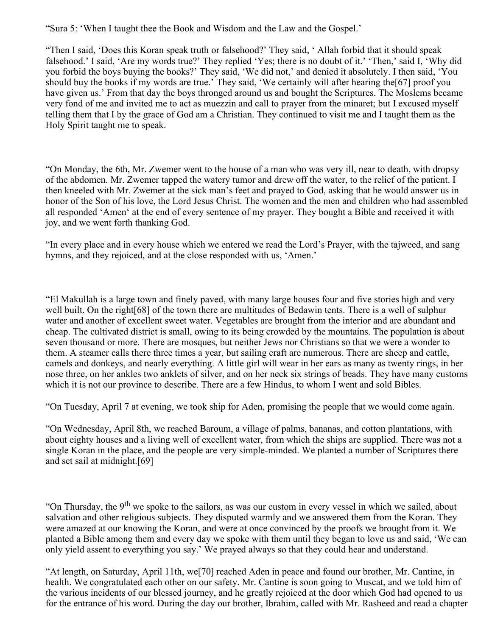"Sura 5: 'When I taught thee the Book and Wisdom and the Law and the Gospel.'

"Then I said, 'Does this Koran speak truth or falsehood?' They said, ' Allah forbid that it should speak falsehood.' I said, 'Are my words true?' They replied 'Yes; there is no doubt of it.' 'Then,' said I, 'Why did you forbid the boys buying the books?' They said, 'We did not,' and denied it absolutely. I then said, 'You should buy the books if my words are true.' They said, 'We certainly will after hearing the[67] proof you have given us.' From that day the boys thronged around us and bought the Scriptures. The Moslems became very fond of me and invited me to act as muezzin and call to prayer from the minaret; but I excused myself telling them that I by the grace of God am a Christian. They continued to visit me and I taught them as the Holy Spirit taught me to speak.

"On Monday, the 6th, Mr. Zwemer went to the house of a man who was very ill, near to death, with dropsy of the abdomen. Mr. Zwemer tapped the watery tumor and drew off the water, to the relief of the patient. I then kneeled with Mr. Zwemer at the sick man's feet and prayed to God, asking that he would answer us in honor of the Son of his love, the Lord Jesus Christ. The women and the men and children who had assembled all responded 'Amen' at the end of every sentence of my prayer. They bought a Bible and received it with joy, and we went forth thanking God.

"In every place and in every house which we entered we read the Lord's Prayer, with the tajweed, and sang hymns, and they rejoiced, and at the close responded with us, 'Amen.'

"El Makullah is a large town and finely paved, with many large houses four and five stories high and very well built. On the right<sup>[68]</sup> of the town there are multitudes of Bedawin tents. There is a well of sulphur water and another of excellent sweet water. Vegetables are brought from the interior and are abundant and cheap. The cultivated district is small, owing to its being crowded by the mountains. The population is about seven thousand or more. There are mosques, but neither Jews nor Christians so that we were a wonder to them. A steamer calls there three times a year, but sailing craft are numerous. There are sheep and cattle, camels and donkeys, and nearly everything. A little girl will wear in her ears as many as twenty rings, in her nose three, on her ankles two anklets of silver, and on her neck six strings of beads. They have many customs which it is not our province to describe. There are a few Hindus, to whom I went and sold Bibles.

"On Tuesday, April 7 at evening, we took ship for Aden, promising the people that we would come again.

"On Wednesday, April 8th, we reached Baroum, a village of palms, bananas, and cotton plantations, with about eighty houses and a living well of excellent water, from which the ships are supplied. There was not a single Koran in the place, and the people are very simple-minded. We planted a number of Scriptures there and set sail at midnight.[69]

"On Thursday, the 9<sup>th</sup> we spoke to the sailors, as was our custom in every vessel in which we sailed, about salvation and other religious subjects. They disputed warmly and we answered them from the Koran. They were amazed at our knowing the Koran, and were at once convinced by the proofs we brought from it. We planted a Bible among them and every day we spoke with them until they began to love us and said, 'We can only yield assent to everything you say.' We prayed always so that they could hear and understand.

"At length, on Saturday, April 11th, we[70] reached Aden in peace and found our brother, Mr. Cantine, in health. We congratulated each other on our safety. Mr. Cantine is soon going to Muscat, and we told him of the various incidents of our blessed journey, and he greatly rejoiced at the door which God had opened to us for the entrance of his word. During the day our brother, Ibrahim, called with Mr. Rasheed and read a chapter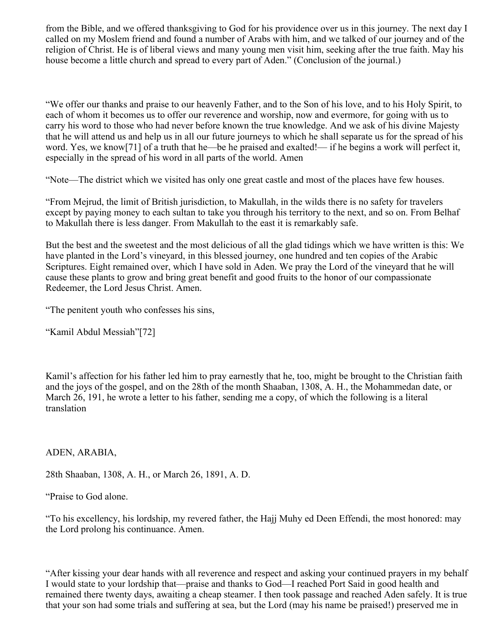from the Bible, and we offered thanksgiving to God for his providence over us in this journey. The next day I called on my Moslem friend and found a number of Arabs with him, and we talked of our journey and of the religion of Christ. He is of liberal views and many young men visit him, seeking after the true faith. May his house become a little church and spread to every part of Aden." (Conclusion of the journal.)

"We offer our thanks and praise to our heavenly Father, and to the Son of his love, and to his Holy Spirit, to each of whom it becomes us to offer our reverence and worship, now and evermore, for going with us to carry his word to those who had never before known the true knowledge. And we ask of his divine Majesty that he will attend us and help us in all our future journeys to which he shall separate us for the spread of his word. Yes, we know[71] of a truth that he—be he praised and exalted!— if he begins a work will perfect it, especially in the spread of his word in all parts of the world. Amen

"Note—The district which we visited has only one great castle and most of the places have few houses.

"From Mejrud, the limit of British jurisdiction, to Makullah, in the wilds there is no safety for travelers except by paying money to each sultan to take you through his territory to the next, and so on. From Belhaf to Makullah there is less danger. From Makullah to the east it is remarkably safe.

But the best and the sweetest and the most delicious of all the glad tidings which we have written is this: We have planted in the Lord's vineyard, in this blessed journey, one hundred and ten copies of the Arabic Scriptures. Eight remained over, which I have sold in Aden. We pray the Lord of the vineyard that he will cause these plants to grow and bring great benefit and good fruits to the honor of our compassionate Redeemer, the Lord Jesus Christ. Amen.

"The penitent youth who confesses his sins,

"Kamil Abdul Messiah"[72]

Kamil's affection for his father led him to pray earnestly that he, too, might be brought to the Christian faith and the joys of the gospel, and on the 28th of the month Shaaban, 1308, A. H., the Mohammedan date, or March 26, 191, he wrote a letter to his father, sending me a copy, of which the following is a literal translation

ADEN, ARABIA,

28th Shaaban, 1308, A. H., or March 26, 1891, A. D.

"Praise to God alone.

"To his excellency, his lordship, my revered father, the Hajj Muhy ed Deen Effendi, the most honored: may the Lord prolong his continuance. Amen.

"After kissing your dear hands with all reverence and respect and asking your continued prayers in my behalf I would state to your lordship that—praise and thanks to God—I reached Port Said in good health and remained there twenty days, awaiting a cheap steamer. I then took passage and reached Aden safely. It is true that your son had some trials and suffering at sea, but the Lord (may his name be praised!) preserved me in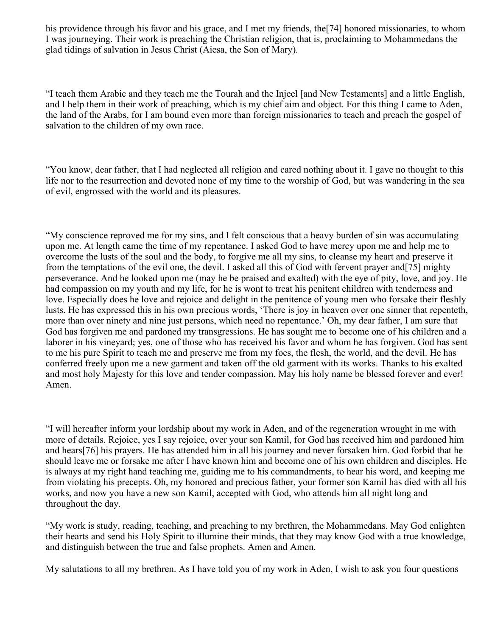his providence through his favor and his grace, and I met my friends, the[74] honored missionaries, to whom I was journeying. Their work is preaching the Christian religion, that is, proclaiming to Mohammedans the glad tidings of salvation in Jesus Christ (Aiesa, the Son of Mary).

"I teach them Arabic and they teach me the Tourah and the Injeel [and New Testaments] and a little English, and I help them in their work of preaching, which is my chief aim and object. For this thing I came to Aden, the land of the Arabs, for I am bound even more than foreign missionaries to teach and preach the gospel of salvation to the children of my own race.

"You know, dear father, that I had neglected all religion and cared nothing about it. I gave no thought to this life nor to the resurrection and devoted none of my time to the worship of God, but was wandering in the sea of evil, engrossed with the world and its pleasures.

"My conscience reproved me for my sins, and I felt conscious that a heavy burden of sin was accumulating upon me. At length came the time of my repentance. I asked God to have mercy upon me and help me to overcome the lusts of the soul and the body, to forgive me all my sins, to cleanse my heart and preserve it from the temptations of the evil one, the devil. I asked all this of God with fervent prayer and[75] mighty perseverance. And he looked upon me (may he be praised and exalted) with the eye of pity, love, and joy. He had compassion on my youth and my life, for he is wont to treat his penitent children with tenderness and love. Especially does he love and rejoice and delight in the penitence of young men who forsake their fleshly lusts. He has expressed this in his own precious words, 'There is joy in heaven over one sinner that repenteth, more than over ninety and nine just persons, which need no repentance.' Oh, my dear father, I am sure that God has forgiven me and pardoned my transgressions. He has sought me to become one of his children and a laborer in his vineyard; yes, one of those who has received his favor and whom he has forgiven. God has sent to me his pure Spirit to teach me and preserve me from my foes, the flesh, the world, and the devil. He has conferred freely upon me a new garment and taken off the old garment with its works. Thanks to his exalted and most holy Majesty for this love and tender compassion. May his holy name be blessed forever and ever! Amen.

"I will hereafter inform your lordship about my work in Aden, and of the regeneration wrought in me with more of details. Rejoice, yes I say rejoice, over your son Kamil, for God has received him and pardoned him and hears[76] his prayers. He has attended him in all his journey and never forsaken him. God forbid that he should leave me or forsake me after I have known him and become one of his own children and disciples. He is always at my right hand teaching me, guiding me to his commandments, to hear his word, and keeping me from violating his precepts. Oh, my honored and precious father, your former son Kamil has died with all his works, and now you have a new son Kamil, accepted with God, who attends him all night long and throughout the day.

"My work is study, reading, teaching, and preaching to my brethren, the Mohammedans. May God enlighten their hearts and send his Holy Spirit to illumine their minds, that they may know God with a true knowledge, and distinguish between the true and false prophets. Amen and Amen.

My salutations to all my brethren. As I have told you of my work in Aden, I wish to ask you four questions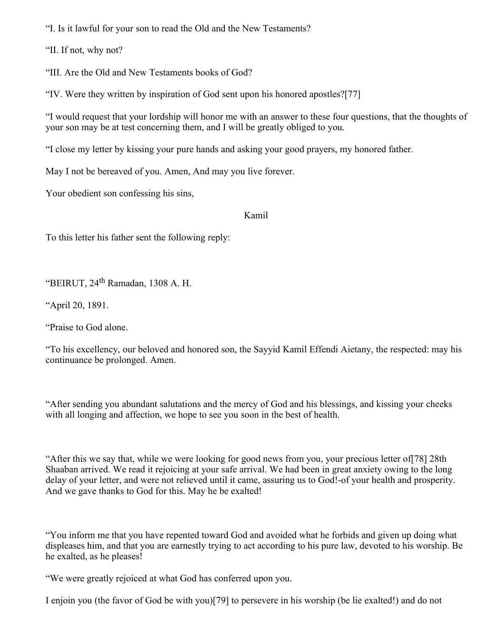"I. Is it lawful for your son to read the Old and the New Testaments?

"II. If not, why not?

"III. Are the Old and New Testaments books of God?

"IV. Were they written by inspiration of God sent upon his honored apostles?[77]

"I would request that your lordship will honor me with an answer to these four questions, that the thoughts of your son may be at test concerning them, and I will be greatly obliged to you.

"I close my letter by kissing your pure hands and asking your good prayers, my honored father.

May I not be bereaved of you. Amen, And may you live forever.

Your obedient son confessing his sins,

### Kamil

To this letter his father sent the following reply:

"BEIRUT, 24<sup>th</sup> Ramadan, 1308 A. H.

"April 20, 1891.

"Praise to God alone.

"To his excellency, our beloved and honored son, the Sayyid Kamil Effendi Aietany, the respected: may his continuance be prolonged. Amen.

"After sending you abundant salutations and the mercy of God and his blessings, and kissing your cheeks with all longing and affection, we hope to see you soon in the best of health.

"After this we say that, while we were looking for good news from you, your precious letter of[78] 28th Shaaban arrived. We read it rejoicing at your safe arrival. We had been in great anxiety owing to the long delay of your letter, and were not relieved until it came, assuring us to God!-of your health and prosperity. And we gave thanks to God for this. May he be exalted!

"You inform me that you have repented toward God and avoided what he forbids and given up doing what displeases him, and that you are earnestly trying to act according to his pure law, devoted to his worship. Be he exalted, as he pleases!

"We were greatly rejoiced at what God has conferred upon you.

I enjoin you (the favor of God be with you)[79] to persevere in his worship (be lie exalted!) and do not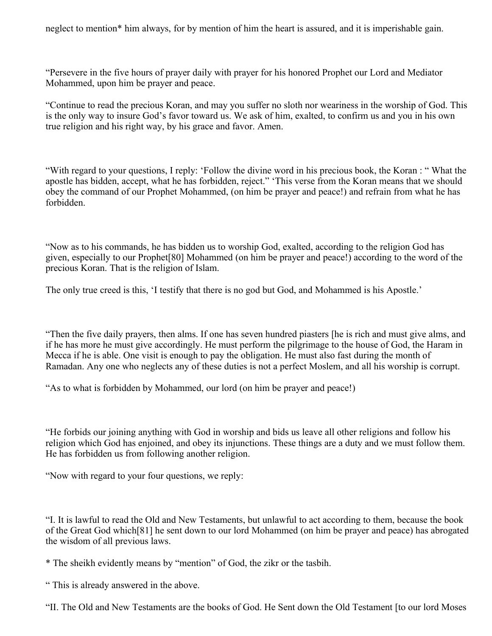neglect to mention\* him always, for by mention of him the heart is assured, and it is imperishable gain.

"Persevere in the five hours of prayer daily with prayer for his honored Prophet our Lord and Mediator Mohammed, upon him be prayer and peace.

"Continue to read the precious Koran, and may you suffer no sloth nor weariness in the worship of God. This is the only way to insure God's favor toward us. We ask of him, exalted, to confirm us and you in his own true religion and his right way, by his grace and favor. Amen.

"With regard to your questions, I reply: 'Follow the divine word in his precious book, the Koran : " What the apostle has bidden, accept, what he has forbidden, reject." 'This verse from the Koran means that we should obey the command of our Prophet Mohammed, (on him be prayer and peace!) and refrain from what he has forbidden.

"Now as to his commands, he has bidden us to worship God, exalted, according to the religion God has given, especially to our Prophet[80] Mohammed (on him be prayer and peace!) according to the word of the precious Koran. That is the religion of Islam.

The only true creed is this, 'I testify that there is no god but God, and Mohammed is his Apostle.'

"Then the five daily prayers, then alms. If one has seven hundred piasters [he is rich and must give alms, and if he has more he must give accordingly. He must perform the pilgrimage to the house of God, the Haram in Mecca if he is able. One visit is enough to pay the obligation. He must also fast during the month of Ramadan. Any one who neglects any of these duties is not a perfect Moslem, and all his worship is corrupt.

"As to what is forbidden by Mohammed, our lord (on him be prayer and peace!)

"He forbids our joining anything with God in worship and bids us leave all other religions and follow his religion which God has enjoined, and obey its injunctions. These things are a duty and we must follow them. He has forbidden us from following another religion.

"Now with regard to your four questions, we reply:

"I. It is lawful to read the Old and New Testaments, but unlawful to act according to them, because the book of the Great God which[81] he sent down to our lord Mohammed (on him be prayer and peace) has abrogated the wisdom of all previous laws.

\* The sheikh evidently means by "mention" of God, the zikr or the tasbih.

" This is already answered in the above.

"II. The Old and New Testaments are the books of God. He Sent down the Old Testament [to our lord Moses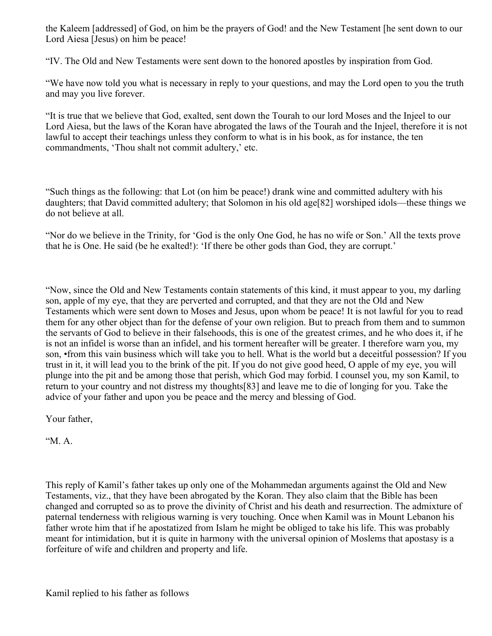the Kaleem [addressed] of God, on him be the prayers of God! and the New Testament [he sent down to our Lord Aiesa [Jesus) on him be peace!

"IV. The Old and New Testaments were sent down to the honored apostles by inspiration from God.

"We have now told you what is necessary in reply to your questions, and may the Lord open to you the truth and may you live forever.

"It is true that we believe that God, exalted, sent down the Tourah to our lord Moses and the Injeel to our Lord Aiesa, but the laws of the Koran have abrogated the laws of the Tourah and the Injeel, therefore it is not lawful to accept their teachings unless they conform to what is in his book, as for instance, the ten commandments, 'Thou shalt not commit adultery,' etc.

"Such things as the following: that Lot (on him be peace!) drank wine and committed adultery with his daughters; that David committed adultery; that Solomon in his old age[82] worshiped idols—these things we do not believe at all.

"Nor do we believe in the Trinity, for 'God is the only One God, he has no wife or Son.' All the texts prove that he is One. He said (be he exalted!): 'If there be other gods than God, they are corrupt.'

"Now, since the Old and New Testaments contain statements of this kind, it must appear to you, my darling son, apple of my eye, that they are perverted and corrupted, and that they are not the Old and New Testaments which were sent down to Moses and Jesus, upon whom be peace! It is not lawful for you to read them for any other object than for the defense of your own religion. But to preach from them and to summon the servants of God to believe in their falsehoods, this is one of the greatest crimes, and he who does it, if he is not an infidel is worse than an infidel, and his torment hereafter will be greater. I therefore warn you, my son, •from this vain business which will take you to hell. What is the world but a deceitful possession? If you trust in it, it will lead you to the brink of the pit. If you do not give good heed, O apple of my eye, you will plunge into the pit and be among those that perish, which God may forbid. I counsel you, my son Kamil, to return to your country and not distress my thoughts[83] and leave me to die of longing for you. Take the advice of your father and upon you be peace and the mercy and blessing of God.

Your father,

 $M.A.$ 

This reply of Kamil's father takes up only one of the Mohammedan arguments against the Old and New Testaments, viz., that they have been abrogated by the Koran. They also claim that the Bible has been changed and corrupted so as to prove the divinity of Christ and his death and resurrection. The admixture of paternal tenderness with religious warning is very touching. Once when Kamil was in Mount Lebanon his father wrote him that if he apostatized from Islam he might be obliged to take his life. This was probably meant for intimidation, but it is quite in harmony with the universal opinion of Moslems that apostasy is a forfeiture of wife and children and property and life.

Kamil replied to his father as follows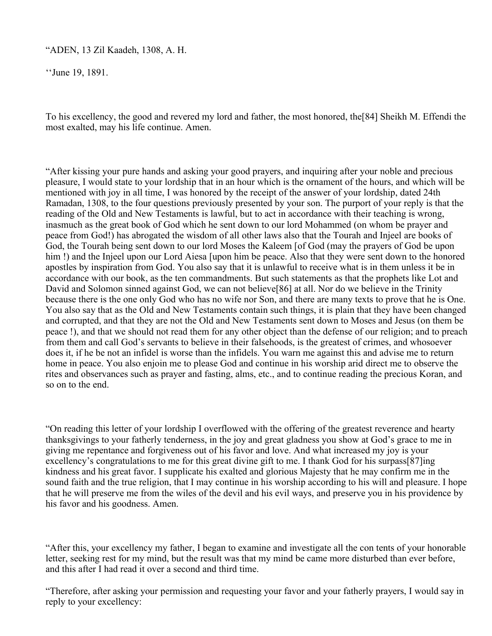"ADEN, 13 Zil Kaadeh, 1308, A. H.

''June 19, 1891.

To his excellency, the good and revered my lord and father, the most honored, the[84] Sheikh M. Effendi the most exalted, may his life continue. Amen.

"After kissing your pure hands and asking your good prayers, and inquiring after your noble and precious pleasure, I would state to your lordship that in an hour which is the ornament of the hours, and which will be mentioned with joy in all time, I was honored by the receipt of the answer of your lordship, dated 24th Ramadan, 1308, to the four questions previously presented by your son. The purport of your reply is that the reading of the Old and New Testaments is lawful, but to act in accordance with their teaching is wrong, inasmuch as the great book of God which he sent down to our lord Mohammed (on whom be prayer and peace from God!) has abrogated the wisdom of all other laws also that the Tourah and Injeel are books of God, the Tourah being sent down to our lord Moses the Kaleem [of God (may the prayers of God be upon him !) and the Injeel upon our Lord Aiesa [upon him be peace. Also that they were sent down to the honored apostles by inspiration from God. You also say that it is unlawful to receive what is in them unless it be in accordance with our book, as the ten commandments. But such statements as that the prophets like Lot and David and Solomon sinned against God, we can not believe[86] at all. Nor do we believe in the Trinity because there is the one only God who has no wife nor Son, and there are many texts to prove that he is One. You also say that as the Old and New Testaments contain such things, it is plain that they have been changed and corrupted, and that they are not the Old and New Testaments sent down to Moses and Jesus (on them be peace !), and that we should not read them for any other object than the defense of our religion; and to preach from them and call God's servants to believe in their falsehoods, is the greatest of crimes, and whosoever does it, if he be not an infidel is worse than the infidels. You warn me against this and advise me to return home in peace. You also enjoin me to please God and continue in his worship arid direct me to observe the rites and observances such as prayer and fasting, alms, etc., and to continue reading the precious Koran, and so on to the end.

"On reading this letter of your lordship I overflowed with the offering of the greatest reverence and hearty thanksgivings to your fatherly tenderness, in the joy and great gladness you show at God's grace to me in giving me repentance and forgiveness out of his favor and love. And what increased my joy is your excellency's congratulations to me for this great divine gift to me. I thank God for his surpass[87]ing kindness and his great favor. I supplicate his exalted and glorious Majesty that he may confirm me in the sound faith and the true religion, that I may continue in his worship according to his will and pleasure. I hope that he will preserve me from the wiles of the devil and his evil ways, and preserve you in his providence by his favor and his goodness. Amen.

"After this, your excellency my father, I began to examine and investigate all the con tents of your honorable letter, seeking rest for my mind, but the result was that my mind be came more disturbed than ever before, and this after I had read it over a second and third time.

"Therefore, after asking your permission and requesting your favor and your fatherly prayers, I would say in reply to your excellency: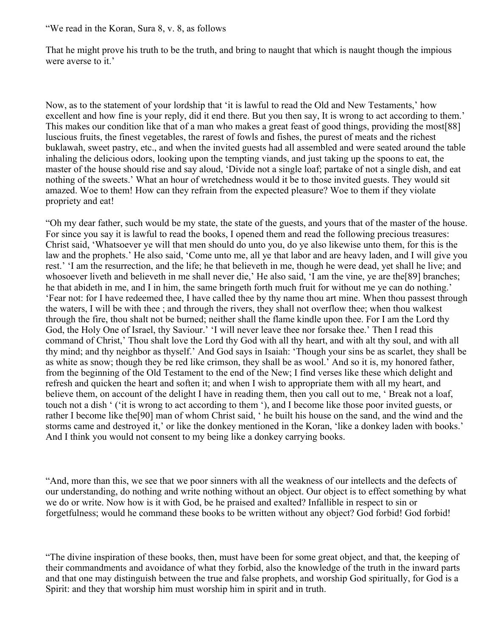"We read in the Koran, Sura 8, v. 8, as follows

That he might prove his truth to be the truth, and bring to naught that which is naught though the impious were averse to it.'

Now, as to the statement of your lordship that 'it is lawful to read the Old and New Testaments,' how excellent and how fine is your reply, did it end there. But you then say, It is wrong to act according to them.' This makes our condition like that of a man who makes a great feast of good things, providing the most[88] luscious fruits, the finest vegetables, the rarest of fowls and fishes, the purest of meats and the richest buklawah, sweet pastry, etc., and when the invited guests had all assembled and were seated around the table inhaling the delicious odors, looking upon the tempting viands, and just taking up the spoons to eat, the master of the house should rise and say aloud, 'Divide not a single loaf; partake of not a single dish, and eat nothing of the sweets.' What an hour of wretchedness would it be to those invited guests. They would sit amazed. Woe to them! How can they refrain from the expected pleasure? Woe to them if they violate propriety and eat!

"Oh my dear father, such would be my state, the state of the guests, and yours that of the master of the house. For since you say it is lawful to read the books, I opened them and read the following precious treasures: Christ said, 'Whatsoever ye will that men should do unto you, do ye also likewise unto them, for this is the law and the prophets.' He also said, 'Come unto me, all ye that labor and are heavy laden, and I will give you rest.' 'I am the resurrection, and the life; he that believeth in me, though he were dead, yet shall he live; and whosoever liveth and believeth in me shall never die,' He also said, 'I am the vine, ye are the<sup>[89]</sup> branches; he that abideth in me, and I in him, the same bringeth forth much fruit for without me ye can do nothing.' 'Fear not: for I have redeemed thee, I have called thee by thy name thou art mine. When thou passest through the waters, I will be with thee ; and through the rivers, they shall not overflow thee; when thou walkest through the fire, thou shalt not be burned; neither shall the flame kindle upon thee. For I am the Lord thy God, the Holy One of Israel, thy Saviour.' 'I will never leave thee nor forsake thee.' Then I read this command of Christ,' Thou shalt love the Lord thy God with all thy heart, and with alt thy soul, and with all thy mind; and thy neighbor as thyself.' And God says in Isaiah: 'Though your sins be as scarlet, they shall be as white as snow; though they be red like crimson, they shall be as wool.' And so it is, my honored father, from the beginning of the Old Testament to the end of the New; I find verses like these which delight and refresh and quicken the heart and soften it; and when I wish to appropriate them with all my heart, and believe them, on account of the delight I have in reading them, then you call out to me, ' Break not a loaf, touch not a dish ' ('it is wrong to act according to them '), and I become like those poor invited guests, or rather I become like the[90] man of whom Christ said, ' he built his house on the sand, and the wind and the storms came and destroyed it,' or like the donkey mentioned in the Koran, 'like a donkey laden with books.' And I think you would not consent to my being like a donkey carrying books.

"And, more than this, we see that we poor sinners with all the weakness of our intellects and the defects of our understanding, do nothing and write nothing without an object. Our object is to effect something by what we do or write. Now how is it with God, be he praised and exalted? Infallible in respect to sin or forgetfulness; would he command these books to be written without any object? God forbid! God forbid!

<sup>&</sup>quot;The divine inspiration of these books, then, must have been for some great object, and that, the keeping of their commandments and avoidance of what they forbid, also the knowledge of the truth in the inward parts and that one may distinguish between the true and false prophets, and worship God spiritually, for God is a Spirit: and they that worship him must worship him in spirit and in truth.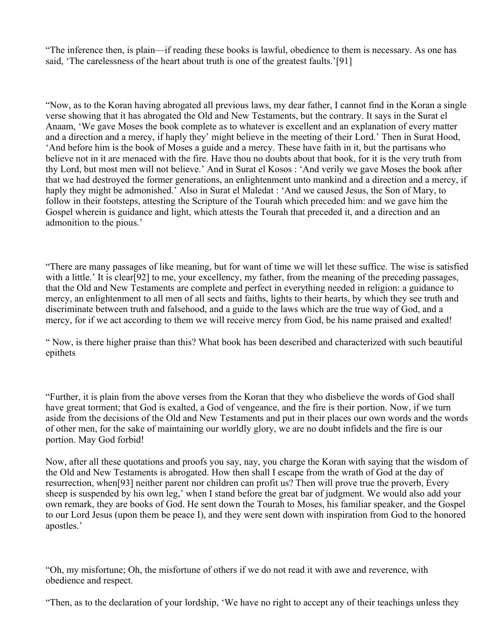"The inference then, is plain—if reading these books is lawful, obedience to them is necessary. As one has said, 'The carelessness of the heart about truth is one of the greatest faults.'[91]

"Now, as to the Koran having abrogated all previous laws, my dear father, I cannot find in the Koran a single verse showing that it has abrogated the Old and New Testaments, but the contrary. It says in the Surat el Anaam, 'We gave Moses the book complete as to whatever is excellent and an explanation of every matter and a direction and a mercy, if haply they' might believe in the meeting of their Lord.' Then in Surat Hood, 'And before him is the book of Moses a guide and a mercy. These have faith in it, but the partisans who believe not in it are menaced with the fire. Have thou no doubts about that book, for it is the very truth from thy Lord, but most men will not believe.' And in Surat el Kosos : 'And verily we gave Moses the book after that we had destroyed the former generations, an enlightenment unto mankind and a direction and a mercy, if haply they might be admonished.' Also in Surat el Maledat : 'And we caused Jesus, the Son of Mary, to follow in their footsteps, attesting the Scripture of the Tourah which preceded him: and we gave him the Gospel wherein is guidance and light, which attests the Tourah that preceded it, and a direction and an admonition to the pious.'

"There are many passages of like meaning, but for want of time we will let these suffice. The wise is satisfied with a little.' It is clear[92] to me, your excellency, my father, from the meaning of the preceding passages, that the Old and New Testaments are complete and perfect in everything needed in religion: a guidance to mercy, an enlightenment to all men of all sects and faiths, lights to their hearts, by which they see truth and discriminate between truth and falsehood, and a guide to the laws which are the true way of God, and a mercy, for if we act according to them we will receive mercy from God, be his name praised and exalted!

" Now, is there higher praise than this? What book has been described and characterized with such beautiful epithets

"Further, it is plain from the above verses from the Koran that they who disbelieve the words of God shall have great torment; that God is exalted, a God of vengeance, and the fire is their portion. Now, if we turn aside from the decisions of the Old and New Testaments and put in their places our own words and the words of other men, for the sake of maintaining our worldly glory, we are no doubt infidels and the fire is our portion. May God forbid!

Now, after all these quotations and proofs you say, nay, you charge the Koran with saying that the wisdom of the Old and New Testaments is abrogated. How then shall I escape from the wrath of God at the day of resurrection, when[93] neither parent nor children can profit us? Then will prove true the proverb, Every sheep is suspended by his own leg,' when I stand before the great bar of judgment. We would also add your own remark, they are books of God. He sent down the Tourah to Moses, his familiar speaker, and the Gospel to our Lord Jesus (upon them be peace I), and they were sent down with inspiration from God to the honored apostles.'

"Oh, my misfortune; Oh, the misfortune of others if we do not read it with awe and reverence, with obedience and respect.

"Then, as to the declaration of your lordship, 'We have no right to accept any of their teachings unless they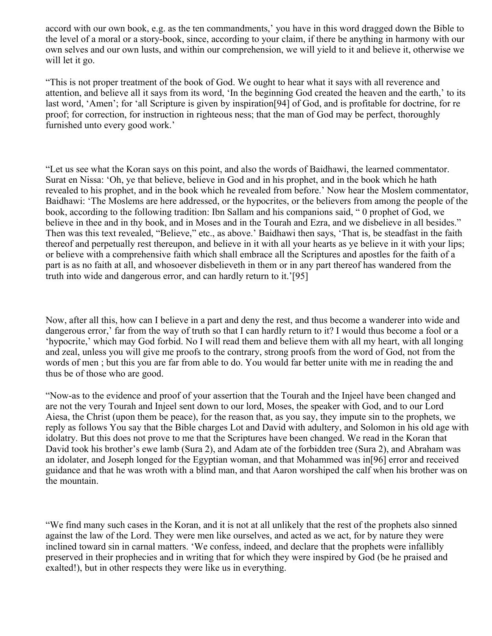accord with our own book, e.g. as the ten commandments,' you have in this word dragged down the Bible to the level of a moral or a story-book, since, according to your claim, if there be anything in harmony with our own selves and our own lusts, and within our comprehension, we will yield to it and believe it, otherwise we will let it go.

"This is not proper treatment of the book of God. We ought to hear what it says with all reverence and attention, and believe all it says from its word, 'In the beginning God created the heaven and the earth,' to its last word, 'Amen'; for 'all Scripture is given by inspiration[94] of God, and is profitable for doctrine, for re proof; for correction, for instruction in righteous ness; that the man of God may be perfect, thoroughly furnished unto every good work.'

"Let us see what the Koran says on this point, and also the words of Baidhawi, the learned commentator. Surat en Nissa: 'Oh, ye that believe, believe in God and in his prophet, and in the book which he hath revealed to his prophet, and in the book which he revealed from before.' Now hear the Moslem commentator, Baidhawi: 'The Moslems are here addressed, or the hypocrites, or the believers from among the people of the book, according to the following tradition: Ibn Sallam and his companions said, " 0 prophet of God, we believe in thee and in thy book, and in Moses and in the Tourah and Ezra, and we disbelieve in all besides." Then was this text revealed, "Believe," etc., as above.' Baidhawi then says, 'That is, be steadfast in the faith thereof and perpetually rest thereupon, and believe in it with all your hearts as ye believe in it with your lips; or believe with a comprehensive faith which shall embrace all the Scriptures and apostles for the faith of a part is as no faith at all, and whosoever disbelieveth in them or in any part thereof has wandered from the truth into wide and dangerous error, and can hardly return to it.'[95]

Now, after all this, how can I believe in a part and deny the rest, and thus become a wanderer into wide and dangerous error,' far from the way of truth so that I can hardly return to it? I would thus become a fool or a 'hypocrite,' which may God forbid. No I will read them and believe them with all my heart, with all longing and zeal, unless you will give me proofs to the contrary, strong proofs from the word of God, not from the words of men ; but this you are far from able to do. You would far better unite with me in reading the and thus be of those who are good.

"Now-as to the evidence and proof of your assertion that the Tourah and the Injeel have been changed and are not the very Tourah and Injeel sent down to our lord, Moses, the speaker with God, and to our Lord Aiesa, the Christ (upon them be peace), for the reason that, as you say, they impute sin to the prophets, we reply as follows You say that the Bible charges Lot and David with adultery, and Solomon in his old age with idolatry. But this does not prove to me that the Scriptures have been changed. We read in the Koran that David took his brother's ewe lamb (Sura 2), and Adam ate of the forbidden tree (Sura 2), and Abraham was an idolater, and Joseph longed for the Egyptian woman, and that Mohammed was in[96] error and received guidance and that he was wroth with a blind man, and that Aaron worshiped the calf when his brother was on the mountain.

"We find many such cases in the Koran, and it is not at all unlikely that the rest of the prophets also sinned against the law of the Lord. They were men like ourselves, and acted as we act, for by nature they were inclined toward sin in carnal matters. 'We confess, indeed, and declare that the prophets were infallibly preserved in their prophecies and in writing that for which they were inspired by God (be he praised and exalted!), but in other respects they were like us in everything.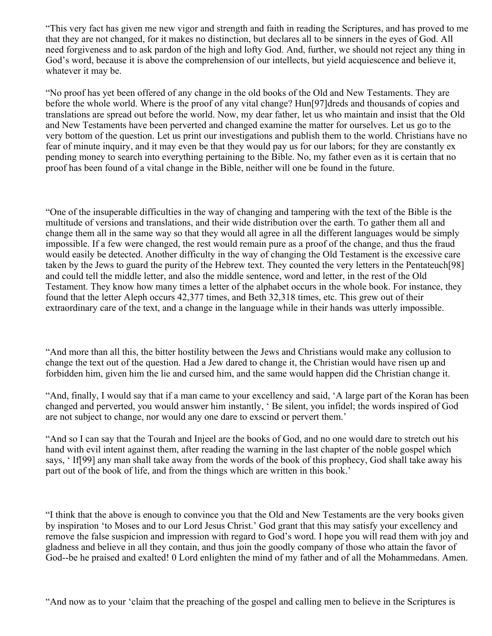"This very fact has given me new vigor and strength and faith in reading the Scriptures, and has proved to me that they are not changed, for it makes no distinction, but declares all to be sinners in the eyes of God. All need forgiveness and to ask pardon of the high and lofty God. And, further, we should not reject any thing in God's word, because it is above the comprehension of our intellects, but yield acquiescence and believe it, whatever it may be.

"No proof has yet been offered of any change in the old books of the Old and New Testaments. They are before the whole world. Where is the proof of any vital change? Hun[97]dreds and thousands of copies and translations are spread out before the world. Now, my dear father, let us who maintain and insist that the Old and New Testaments have been perverted and changed examine the matter for ourselves. Let us go to the very bottom of the question. Let us print our investigations and publish them to the world. Christians have no fear of minute inquiry, and it may even be that they would pay us for our labors; for they are constantly ex pending money to search into everything pertaining to the Bible. No, my father even as it is certain that no proof has been found of a vital change in the Bible, neither will one be found in the future.

"One of the insuperable difficulties in the way of changing and tampering with the text of the Bible is the multitude of versions and translations, and their wide distribution over the earth. To gather them all and change them all in the same way so that they would all agree in all the different languages would be simply impossible. If a few were changed, the rest would remain pure as a proof of the change, and thus the fraud would easily be detected. Another difficulty in the way of changing the Old Testament is the excessive care taken by the Jews to guard the purity of the Hebrew text. They counted the very letters in the Pentateuch[98] and could tell the middle letter, and also the middle sentence, word and letter, in the rest of the Old Testament. They know how many times a letter of the alphabet occurs in the whole book. For instance, they found that the letter Aleph occurs 42,377 times, and Beth 32,318 times, etc. This grew out of their extraordinary care of the text, and a change in the language while in their hands was utterly impossible.

"And more than all this, the bitter hostility between the Jews and Christians would make any collusion to change the text out of the question. Had a Jew dared to change it, the Christian would have risen up and forbidden him, given him the lie and cursed him, and the same would happen did the Christian change it.

"And, finally, I would say that if a man came to your excellency and said, 'A large part of the Koran has been changed and perverted, you would answer him instantly, ' Be silent, you infidel; the words inspired of God are not subject to change, nor would any one dare to exscind or pervert them.'

"And so I can say that the Tourah and Injeel are the books of God, and no one would dare to stretch out his hand with evil intent against them, after reading the warning in the last chapter of the noble gospel which says, 'If [99] any man shall take away from the words of the book of this prophecy, God shall take away his part out of the book of life, and from the things which are written in this book.'

"I think that the above is enough to convince you that the Old and New Testaments are the very books given by inspiration 'to Moses and to our Lord Jesus Christ.' God grant that this may satisfy your excellency and remove the false suspicion and impression with regard to God's word. I hope you will read them with joy and gladness and believe in all they contain, and thus join the goodly company of those who attain the favor of God--be he praised and exalted! 0 Lord enlighten the mind of my father and of all the Mohammedans. Amen.

"And now as to your 'claim that the preaching of the gospel and calling men to believe in the Scriptures is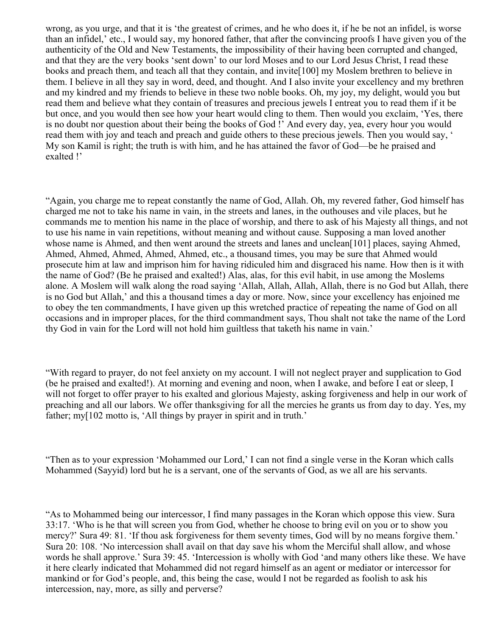wrong, as you urge, and that it is 'the greatest of crimes, and he who does it, if he be not an infidel, is worse than an infidel,' etc., I would say, my honored father, that after the convincing proofs I have given you of the authenticity of the Old and New Testaments, the impossibility of their having been corrupted and changed, and that they are the very books 'sent down' to our lord Moses and to our Lord Jesus Christ, I read these books and preach them, and teach all that they contain, and invite[100] my Moslem brethren to believe in them. I believe in all they say in word, deed, and thought. And I also invite your excellency and my brethren and my kindred and my friends to believe in these two noble books. Oh, my joy, my delight, would you but read them and believe what they contain of treasures and precious jewels I entreat you to read them if it be but once, and you would then see how your heart would cling to them. Then would you exclaim, 'Yes, there is no doubt nor question about their being the books of God !' And every day, yea, every hour you would read them with joy and teach and preach and guide others to these precious jewels. Then you would say, ' My son Kamil is right; the truth is with him, and he has attained the favor of God—be he praised and exalted !'

"Again, you charge me to repeat constantly the name of God, Allah. Oh, my revered father, God himself has charged me not to take his name in vain, in the streets and lanes, in the outhouses and vile places, but he commands me to mention his name in the place of worship, and there to ask of his Majesty all things, and not to use his name in vain repetitions, without meaning and without cause. Supposing a man loved another whose name is Ahmed, and then went around the streets and lanes and unclean[101] places, saying Ahmed, Ahmed, Ahmed, Ahmed, Ahmed, Ahmed, etc., a thousand times, you may be sure that Ahmed would prosecute him at law and imprison him for having ridiculed him and disgraced his name. How then is it with the name of God? (Be he praised and exalted!) Alas, alas, for this evil habit, in use among the Moslems alone. A Moslem will walk along the road saying 'Allah, Allah, Allah, Allah, there is no God but Allah, there is no God but Allah,' and this a thousand times a day or more. Now, since your excellency has enjoined me to obey the ten commandments, I have given up this wretched practice of repeating the name of God on all occasions and in improper places, for the third commandment says, Thou shalt not take the name of the Lord thy God in vain for the Lord will not hold him guiltless that taketh his name in vain.'

"With regard to prayer, do not feel anxiety on my account. I will not neglect prayer and supplication to God (be he praised and exalted!). At morning and evening and noon, when I awake, and before I eat or sleep, I will not forget to offer prayer to his exalted and glorious Majesty, asking forgiveness and help in our work of preaching and all our labors. We offer thanksgiving for all the mercies he grants us from day to day. Yes, my father; my[102 motto is, 'All things by prayer in spirit and in truth.'

"Then as to your expression 'Mohammed our Lord,' I can not find a single verse in the Koran which calls Mohammed (Sayyid) lord but he is a servant, one of the servants of God, as we all are his servants.

"As to Mohammed being our intercessor, I find many passages in the Koran which oppose this view. Sura 33:17. 'Who is he that will screen you from God, whether he choose to bring evil on you or to show you mercy?' Sura 49: 81. 'If thou ask forgiveness for them seventy times, God will by no means forgive them.' Sura 20: 108. 'No intercession shall avail on that day save his whom the Merciful shall allow, and whose words he shall approve.' Sura 39: 45. 'Intercession is wholly with God 'and many others like these. We have it here clearly indicated that Mohammed did not regard himself as an agent or mediator or intercessor for mankind or for God's people, and, this being the case, would I not be regarded as foolish to ask his intercession, nay, more, as silly and perverse?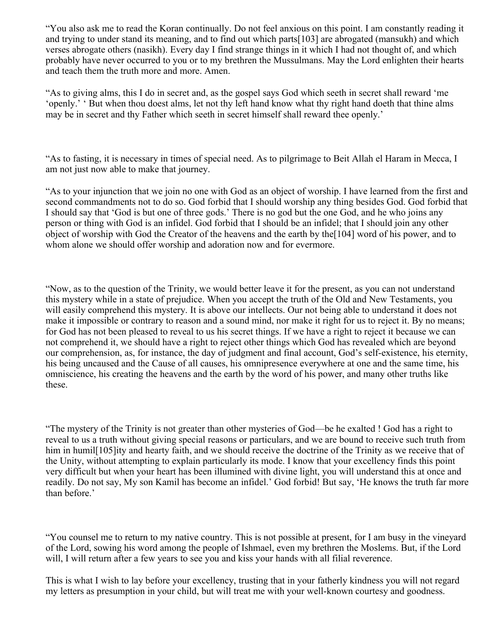"You also ask me to read the Koran continually. Do not feel anxious on this point. I am constantly reading it and trying to under stand its meaning, and to find out which parts[103] are abrogated (mansukh) and which verses abrogate others (nasikh). Every day I find strange things in it which I had not thought of, and which probably have never occurred to you or to my brethren the Mussulmans. May the Lord enlighten their hearts and teach them the truth more and more. Amen.

"As to giving alms, this I do in secret and, as the gospel says God which seeth in secret shall reward 'me 'openly.' ' But when thou doest alms, let not thy left hand know what thy right hand doeth that thine alms may be in secret and thy Father which seeth in secret himself shall reward thee openly.'

"As to fasting, it is necessary in times of special need. As to pilgrimage to Beit Allah el Haram in Mecca, I am not just now able to make that journey.

"As to your injunction that we join no one with God as an object of worship. I have learned from the first and second commandments not to do so. God forbid that I should worship any thing besides God. God forbid that I should say that 'God is but one of three gods.' There is no god but the one God, and he who joins any person or thing with God is an infidel. God forbid that I should be an infidel; that I should join any other object of worship with God the Creator of the heavens and the earth by the[104] word of his power, and to whom alone we should offer worship and adoration now and for evermore.

"Now, as to the question of the Trinity, we would better leave it for the present, as you can not understand this mystery while in a state of prejudice. When you accept the truth of the Old and New Testaments, you will easily comprehend this mystery. It is above our intellects. Our not being able to understand it does not make it impossible or contrary to reason and a sound mind, nor make it right for us to reject it. By no means; for God has not been pleased to reveal to us his secret things. If we have a right to reject it because we can not comprehend it, we should have a right to reject other things which God has revealed which are beyond our comprehension, as, for instance, the day of judgment and final account, God's self-existence, his eternity, his being uncaused and the Cause of all causes, his omnipresence everywhere at one and the same time, his omniscience, his creating the heavens and the earth by the word of his power, and many other truths like these.

"The mystery of the Trinity is not greater than other mysteries of God—be he exalted ! God has a right to reveal to us a truth without giving special reasons or particulars, and we are bound to receive such truth from him in humil<sup>[105]</sup>ity and hearty faith, and we should receive the doctrine of the Trinity as we receive that of the Unity, without attempting to explain particularly its mode. I know that your excellency finds this point very difficult but when your heart has been illumined with divine light, you will understand this at once and readily. Do not say, My son Kamil has become an infidel.' God forbid! But say, 'He knows the truth far more than before.'

"You counsel me to return to my native country. This is not possible at present, for I am busy in the vineyard of the Lord, sowing his word among the people of Ishmael, even my brethren the Moslems. But, if the Lord will, I will return after a few years to see you and kiss your hands with all filial reverence.

This is what I wish to lay before your excellency, trusting that in your fatherly kindness you will not regard my letters as presumption in your child, but will treat me with your well-known courtesy and goodness.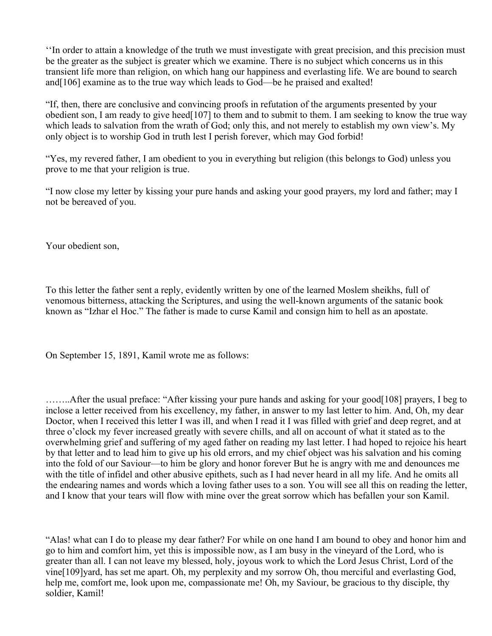''In order to attain a knowledge of the truth we must investigate with great precision, and this precision must be the greater as the subject is greater which we examine. There is no subject which concerns us in this transient life more than religion, on which hang our happiness and everlasting life. We are bound to search and[106] examine as to the true way which leads to God—be he praised and exalted!

"If, then, there are conclusive and convincing proofs in refutation of the arguments presented by your obedient son, I am ready to give heed[107] to them and to submit to them. I am seeking to know the true way which leads to salvation from the wrath of God; only this, and not merely to establish my own view's. My only object is to worship God in truth lest I perish forever, which may God forbid!

"Yes, my revered father, I am obedient to you in everything but religion (this belongs to God) unless you prove to me that your religion is true.

"I now close my letter by kissing your pure hands and asking your good prayers, my lord and father; may I not be bereaved of you.

Your obedient son,

To this letter the father sent a reply, evidently written by one of the learned Moslem sheikhs, full of venomous bitterness, attacking the Scriptures, and using the well-known arguments of the satanic book known as "Izhar el Hoc." The father is made to curse Kamil and consign him to hell as an apostate.

On September 15, 1891, Kamil wrote me as follows:

……..After the usual preface: "After kissing your pure hands and asking for your good[108] prayers, I beg to inclose a letter received from his excellency, my father, in answer to my last letter to him. And, Oh, my dear Doctor, when I received this letter I was ill, and when I read it I was filled with grief and deep regret, and at three o'clock my fever increased greatly with severe chills, and all on account of what it stated as to the overwhelming grief and suffering of my aged father on reading my last letter. I had hoped to rejoice his heart by that letter and to lead him to give up his old errors, and my chief object was his salvation and his coming into the fold of our Saviour—to him be glory and honor forever But he is angry with me and denounces me with the title of infidel and other abusive epithets, such as I had never heard in all my life. And he omits all the endearing names and words which a loving father uses to a son. You will see all this on reading the letter, and I know that your tears will flow with mine over the great sorrow which has befallen your son Kamil.

"Alas! what can I do to please my dear father? For while on one hand I am bound to obey and honor him and go to him and comfort him, yet this is impossible now, as I am busy in the vineyard of the Lord, who is greater than all. I can not leave my blessed, holy, joyous work to which the Lord Jesus Christ, Lord of the vine[109]yard, has set me apart. Oh, my perplexity and my sorrow Oh, thou merciful and everlasting God, help me, comfort me, look upon me, compassionate me! Oh, my Saviour, be gracious to thy disciple, thy soldier, Kamil!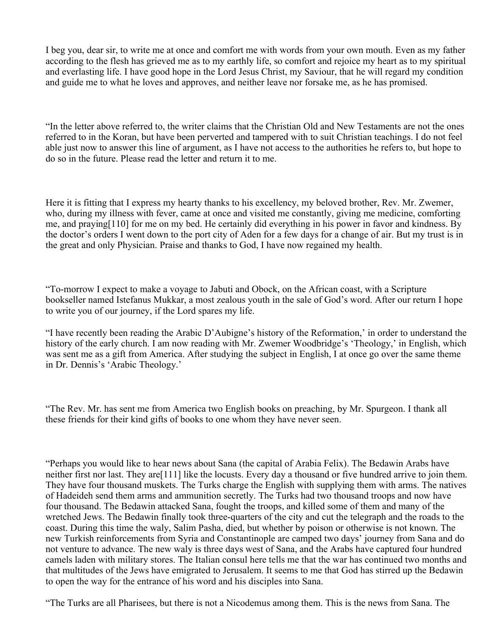I beg you, dear sir, to write me at once and comfort me with words from your own mouth. Even as my father according to the flesh has grieved me as to my earthly life, so comfort and rejoice my heart as to my spiritual and everlasting life. I have good hope in the Lord Jesus Christ, my Saviour, that he will regard my condition and guide me to what he loves and approves, and neither leave nor forsake me, as he has promised.

"In the letter above referred to, the writer claims that the Christian Old and New Testaments are not the ones referred to in the Koran, but have been perverted and tampered with to suit Christian teachings. I do not feel able just now to answer this line of argument, as I have not access to the authorities he refers to, but hope to do so in the future. Please read the letter and return it to me.

Here it is fitting that I express my hearty thanks to his excellency, my beloved brother, Rev. Mr. Zwemer, who, during my illness with fever, came at once and visited me constantly, giving me medicine, comforting me, and praying[110] for me on my bed. He certainly did everything in his power in favor and kindness. By the doctor's orders I went down to the port city of Aden for a few days for a change of air. But my trust is in the great and only Physician. Praise and thanks to God, I have now regained my health.

"To-morrow I expect to make a voyage to Jabuti and Obock, on the African coast, with a Scripture bookseller named Istefanus Mukkar, a most zealous youth in the sale of God's word. After our return I hope to write you of our journey, if the Lord spares my life.

"I have recently been reading the Arabic D'Aubigne's history of the Reformation,' in order to understand the history of the early church. I am now reading with Mr. Zwemer Woodbridge's 'Theology,' in English, which was sent me as a gift from America. After studying the subject in English, I at once go over the same theme in Dr. Dennis's 'Arabic Theology.'

"The Rev. Mr. has sent me from America two English books on preaching, by Mr. Spurgeon. I thank all these friends for their kind gifts of books to one whom they have never seen.

"Perhaps you would like to hear news about Sana (the capital of Arabia Felix). The Bedawin Arabs have neither first nor last. They are[111] like the locusts. Every day a thousand or five hundred arrive to join them. They have four thousand muskets. The Turks charge the English with supplying them with arms. The natives of Hadeideh send them arms and ammunition secretly. The Turks had two thousand troops and now have four thousand. The Bedawin attacked Sana, fought the troops, and killed some of them and many of the wretched Jews. The Bedawin finally took three-quarters of the city and cut the telegraph and the roads to the coast. During this time the waly, Salim Pasha, died, but whether by poison or otherwise is not known. The new Turkish reinforcements from Syria and Constantinople are camped two days' journey from Sana and do not venture to advance. The new waly is three days west of Sana, and the Arabs have captured four hundred camels laden with military stores. The Italian consul here tells me that the war has continued two months and that multitudes of the Jews have emigrated to Jerusalem. It seems to me that God has stirred up the Bedawin to open the way for the entrance of his word and his disciples into Sana.

"The Turks are all Pharisees, but there is not a Nicodemus among them. This is the news from Sana. The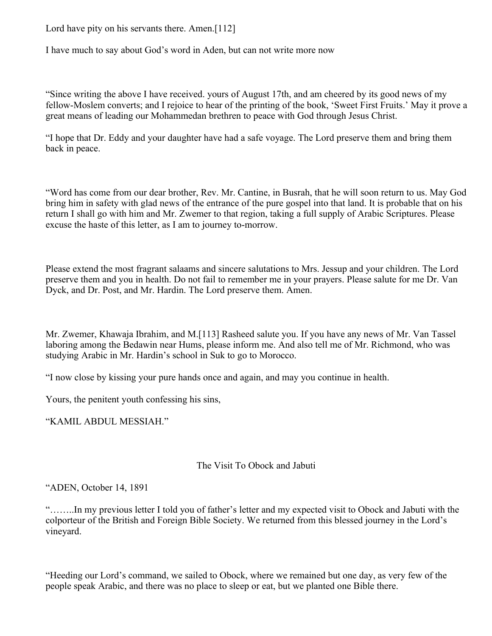Lord have pity on his servants there. Amen.[112]

I have much to say about God's word in Aden, but can not write more now

"Since writing the above I have received. yours of August 17th, and am cheered by its good news of my fellow-Moslem converts; and I rejoice to hear of the printing of the book, 'Sweet First Fruits.' May it prove a great means of leading our Mohammedan brethren to peace with God through Jesus Christ.

"I hope that Dr. Eddy and your daughter have had a safe voyage. The Lord preserve them and bring them back in peace.

"Word has come from our dear brother, Rev. Mr. Cantine, in Busrah, that he will soon return to us. May God bring him in safety with glad news of the entrance of the pure gospel into that land. It is probable that on his return I shall go with him and Mr. Zwemer to that region, taking a full supply of Arabic Scriptures. Please excuse the haste of this letter, as I am to journey to-morrow.

Please extend the most fragrant salaams and sincere salutations to Mrs. Jessup and your children. The Lord preserve them and you in health. Do not fail to remember me in your prayers. Please salute for me Dr. Van Dyck, and Dr. Post, and Mr. Hardin. The Lord preserve them. Amen.

Mr. Zwemer, Khawaja Ibrahim, and M.[113] Rasheed salute you. If you have any news of Mr. Van Tassel laboring among the Bedawin near Hums, please inform me. And also tell me of Mr. Richmond, who was studying Arabic in Mr. Hardin's school in Suk to go to Morocco.

"I now close by kissing your pure hands once and again, and may you continue in health.

Yours, the penitent youth confessing his sins,

"KAMIL ABDUL MESSIAH."

The Visit To Obock and Jabuti

"ADEN, October 14, 1891

"……..In my previous letter I told you of father's letter and my expected visit to Obock and Jabuti with the colporteur of the British and Foreign Bible Society. We returned from this blessed journey in the Lord's vineyard.

"Heeding our Lord's command, we sailed to Obock, where we remained but one day, as very few of the people speak Arabic, and there was no place to sleep or eat, but we planted one Bible there.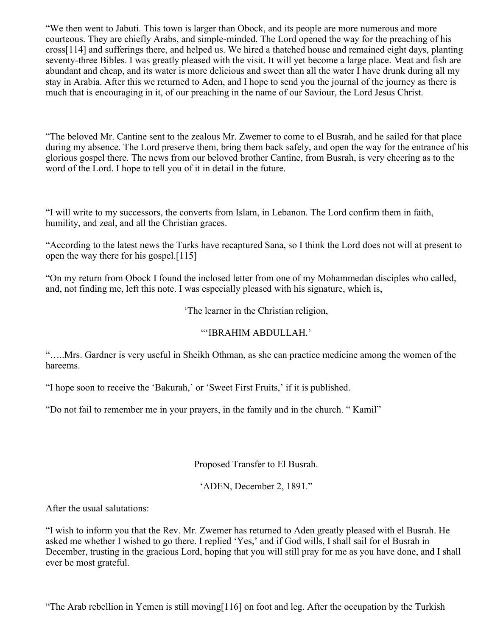"We then went to Jabuti. This town is larger than Obock, and its people are more numerous and more courteous. They are chiefly Arabs, and simple-minded. The Lord opened the way for the preaching of his cross[114] and sufferings there, and helped us. We hired a thatched house and remained eight days, planting seventy-three Bibles. I was greatly pleased with the visit. It will yet become a large place. Meat and fish are abundant and cheap, and its water is more delicious and sweet than all the water I have drunk during all my stay in Arabia. After this we returned to Aden, and I hope to send you the journal of the journey as there is much that is encouraging in it, of our preaching in the name of our Saviour, the Lord Jesus Christ.

"The beloved Mr. Cantine sent to the zealous Mr. Zwemer to come to el Busrah, and he sailed for that place during my absence. The Lord preserve them, bring them back safely, and open the way for the entrance of his glorious gospel there. The news from our beloved brother Cantine, from Busrah, is very cheering as to the word of the Lord. I hope to tell you of it in detail in the future.

"I will write to my successors, the converts from Islam, in Lebanon. The Lord confirm them in faith, humility, and zeal, and all the Christian graces.

"According to the latest news the Turks have recaptured Sana, so I think the Lord does not will at present to open the way there for his gospel.[115]

"On my return from Obock I found the inclosed letter from one of my Mohammedan disciples who called, and, not finding me, left this note. I was especially pleased with his signature, which is,

'The learner in the Christian religion,

# "'IBRAHIM ABDULLAH.'

"…..Mrs. Gardner is very useful in Sheikh Othman, as she can practice medicine among the women of the hareems.

"I hope soon to receive the 'Bakurah,' or 'Sweet First Fruits,' if it is published.

"Do not fail to remember me in your prayers, in the family and in the church. " Kamil"

Proposed Transfer to El Busrah.

'ADEN, December 2, 1891."

After the usual salutations:

"I wish to inform you that the Rev. Mr. Zwemer has returned to Aden greatly pleased with el Busrah. He asked me whether I wished to go there. I replied 'Yes,' and if God wills, I shall sail for el Busrah in December, trusting in the gracious Lord, hoping that you will still pray for me as you have done, and I shall ever be most grateful.

"The Arab rebellion in Yemen is still moving[116] on foot and leg. After the occupation by the Turkish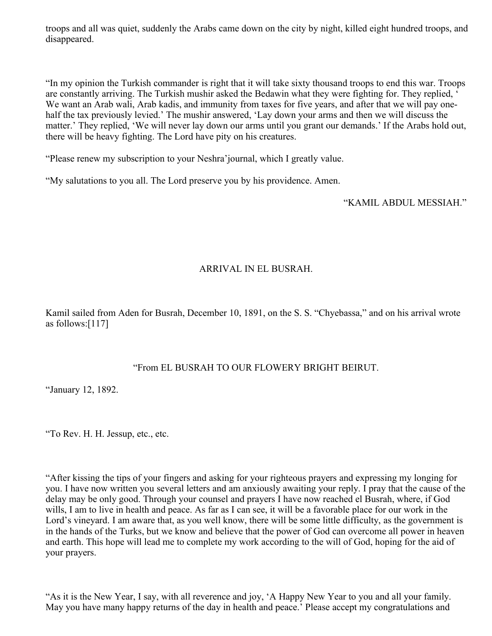troops and all was quiet, suddenly the Arabs came down on the city by night, killed eight hundred troops, and disappeared.

"In my opinion the Turkish commander is right that it will take sixty thousand troops to end this war. Troops are constantly arriving. The Turkish mushir asked the Bedawin what they were fighting for. They replied, ' We want an Arab wali, Arab kadis, and immunity from taxes for five years, and after that we will pay onehalf the tax previously levied.' The mushir answered, 'Lay down your arms and then we will discuss the matter.' They replied, 'We will never lay down our arms until you grant our demands.' If the Arabs hold out, there will be heavy fighting. The Lord have pity on his creatures.

"Please renew my subscription to your Neshra'journal, which I greatly value.

"My salutations to you all. The Lord preserve you by his providence. Amen.

"KAMIL ABDUL MESSIAH."

### ARRIVAL IN EL BUSRAH.

Kamil sailed from Aden for Busrah, December 10, 1891, on the S. S. "Chyebassa," and on his arrival wrote as follows:[117]

## "From EL BUSRAH TO OUR FLOWERY BRIGHT BEIRUT.

"January 12, 1892.

"To Rev. H. H. Jessup, etc., etc.

"After kissing the tips of your fingers and asking for your righteous prayers and expressing my longing for you. I have now written you several letters and am anxiously awaiting your reply. I pray that the cause of the delay may be only good. Through your counsel and prayers I have now reached el Busrah, where, if God wills, I am to live in health and peace. As far as I can see, it will be a favorable place for our work in the Lord's vineyard. I am aware that, as you well know, there will be some little difficulty, as the government is in the hands of the Turks, but we know and believe that the power of God can overcome all power in heaven and earth. This hope will lead me to complete my work according to the will of God, hoping for the aid of your prayers.

"As it is the New Year, I say, with all reverence and joy, 'A Happy New Year to you and all your family. May you have many happy returns of the day in health and peace.' Please accept my congratulations and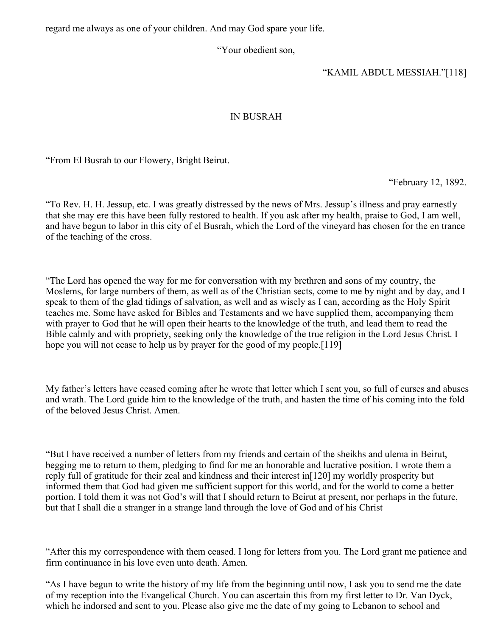regard me always as one of your children. And may God spare your life.

"Your obedient son,

"KAMIL ABDUL MESSIAH."[118]

# IN BUSRAH

"From El Busrah to our Flowery, Bright Beirut.

"February 12, 1892.

"To Rev. H. H. Jessup, etc. I was greatly distressed by the news of Mrs. Jessup's illness and pray earnestly that she may ere this have been fully restored to health. If you ask after my health, praise to God, I am well, and have begun to labor in this city of el Busrah, which the Lord of the vineyard has chosen for the en trance of the teaching of the cross.

"The Lord has opened the way for me for conversation with my brethren and sons of my country, the Moslems, for large numbers of them, as well as of the Christian sects, come to me by night and by day, and I speak to them of the glad tidings of salvation, as well and as wisely as I can, according as the Holy Spirit teaches me. Some have asked for Bibles and Testaments and we have supplied them, accompanying them with prayer to God that he will open their hearts to the knowledge of the truth, and lead them to read the Bible calmly and with propriety, seeking only the knowledge of the true religion in the Lord Jesus Christ. I hope you will not cease to help us by prayer for the good of my people.<sup>[119]</sup>

My father's letters have ceased coming after he wrote that letter which I sent you, so full of curses and abuses and wrath. The Lord guide him to the knowledge of the truth, and hasten the time of his coming into the fold of the beloved Jesus Christ. Amen.

"But I have received a number of letters from my friends and certain of the sheikhs and ulema in Beirut, begging me to return to them, pledging to find for me an honorable and lucrative position. I wrote them a reply full of gratitude for their zeal and kindness and their interest in[120] my worldly prosperity but informed them that God had given me sufficient support for this world, and for the world to come a better portion. I told them it was not God's will that I should return to Beirut at present, nor perhaps in the future, but that I shall die a stranger in a strange land through the love of God and of his Christ

"After this my correspondence with them ceased. I long for letters from you. The Lord grant me patience and firm continuance in his love even unto death. Amen.

"As I have begun to write the history of my life from the beginning until now, I ask you to send me the date of my reception into the Evangelical Church. You can ascertain this from my first letter to Dr. Van Dyck, which he indorsed and sent to you. Please also give me the date of my going to Lebanon to school and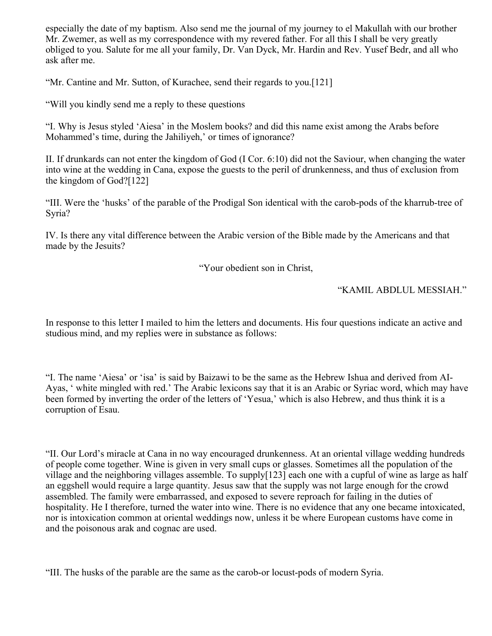especially the date of my baptism. Also send me the journal of my journey to el Makullah with our brother Mr. Zwemer, as well as my correspondence with my revered father. For all this I shall be very greatly obliged to you. Salute for me all your family, Dr. Van Dyck, Mr. Hardin and Rev. Yusef Bedr, and all who ask after me.

"Mr. Cantine and Mr. Sutton, of Kurachee, send their regards to you.[121]

"Will you kindly send me a reply to these questions

"I. Why is Jesus styled 'Aiesa' in the Moslem books? and did this name exist among the Arabs before Mohammed's time, during the Jahiliyeh,' or times of ignorance?

II. If drunkards can not enter the kingdom of God (I Cor. 6:10) did not the Saviour, when changing the water into wine at the wedding in Cana, expose the guests to the peril of drunkenness, and thus of exclusion from the kingdom of God?[122]

"III. Were the 'husks' of the parable of the Prodigal Son identical with the carob-pods of the kharrub-tree of Syria?

IV. Is there any vital difference between the Arabic version of the Bible made by the Americans and that made by the Jesuits?

"Your obedient son in Christ,

## "KAMIL ABDLUL MESSIAH."

In response to this letter I mailed to him the letters and documents. His four questions indicate an active and studious mind, and my replies were in substance as follows:

"I. The name 'Aiesa' or 'isa' is said by Baizawi to be the same as the Hebrew Ishua and derived from AI-Ayas, ' white mingled with red.' The Arabic lexicons say that it is an Arabic or Syriac word, which may have been formed by inverting the order of the letters of 'Yesua,' which is also Hebrew, and thus think it is a corruption of Esau.

"II. Our Lord's miracle at Cana in no way encouraged drunkenness. At an oriental village wedding hundreds of people come together. Wine is given in very small cups or glasses. Sometimes all the population of the village and the neighboring villages assemble. To supply[123] each one with a cupful of wine as large as half an eggshell would require a large quantity. Jesus saw that the supply was not large enough for the crowd assembled. The family were embarrassed, and exposed to severe reproach for failing in the duties of hospitality. He I therefore, turned the water into wine. There is no evidence that any one became intoxicated, nor is intoxication common at oriental weddings now, unless it be where European customs have come in and the poisonous arak and cognac are used.

"III. The husks of the parable are the same as the carob-or locust-pods of modern Syria.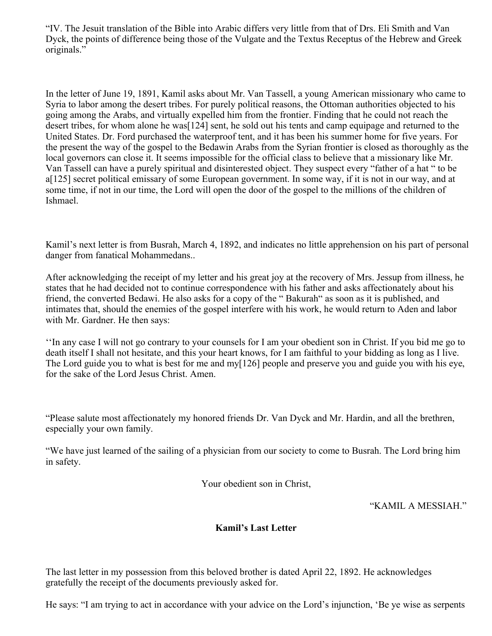"IV. The Jesuit translation of the Bible into Arabic differs very little from that of Drs. Eli Smith and Van Dyck, the points of difference being those of the Vulgate and the Textus Receptus of the Hebrew and Greek originals."

In the letter of June 19, 1891, Kamil asks about Mr. Van Tassell, a young American missionary who came to Syria to labor among the desert tribes. For purely political reasons, the Ottoman authorities objected to his going among the Arabs, and virtually expelled him from the frontier. Finding that he could not reach the desert tribes, for whom alone he was[124] sent, he sold out his tents and camp equipage and returned to the United States. Dr. Ford purchased the waterproof tent, and it has been his summer home for five years. For the present the way of the gospel to the Bedawin Arabs from the Syrian frontier is closed as thoroughly as the local governors can close it. It seems impossible for the official class to believe that a missionary like Mr. Van Tassell can have a purely spiritual and disinterested object. They suspect every "father of a hat " to be a[125] secret political emissary of some European government. In some way, if it is not in our way, and at some time, if not in our time, the Lord will open the door of the gospel to the millions of the children of Ishmael.

Kamil's next letter is from Busrah, March 4, 1892, and indicates no little apprehension on his part of personal danger from fanatical Mohammedans..

After acknowledging the receipt of my letter and his great joy at the recovery of Mrs. Jessup from illness, he states that he had decided not to continue correspondence with his father and asks affectionately about his friend, the converted Bedawi. He also asks for a copy of the " Bakurah" as soon as it is published, and intimates that, should the enemies of the gospel interfere with his work, he would return to Aden and labor with Mr. Gardner. He then says:

''In any case I will not go contrary to your counsels for I am your obedient son in Christ. If you bid me go to death itself I shall not hesitate, and this your heart knows, for I am faithful to your bidding as long as I live. The Lord guide you to what is best for me and my[126] people and preserve you and guide you with his eye, for the sake of the Lord Jesus Christ. Amen.

"Please salute most affectionately my honored friends Dr. Van Dyck and Mr. Hardin, and all the brethren, especially your own family.

"We have just learned of the sailing of a physician from our society to come to Busrah. The Lord bring him in safety.

Your obedient son in Christ,

"KAMIL A MESSIAH."

## **Kamil's Last Letter**

The last letter in my possession from this beloved brother is dated April 22, 1892. He acknowledges gratefully the receipt of the documents previously asked for.

He says: "I am trying to act in accordance with your advice on the Lord's injunction, 'Be ye wise as serpents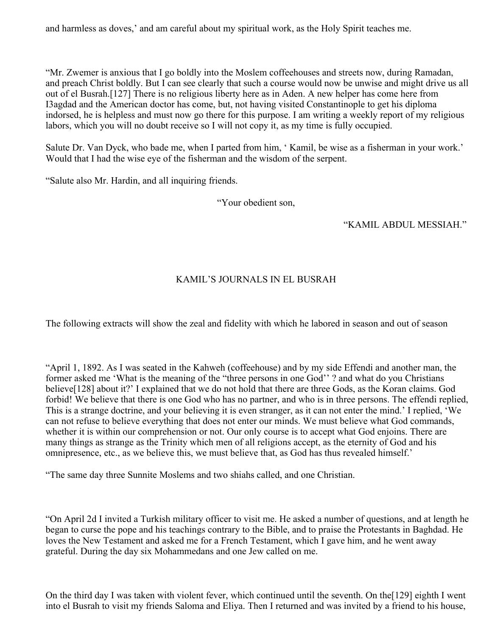and harmless as doves,' and am careful about my spiritual work, as the Holy Spirit teaches me.

"Mr. Zwemer is anxious that I go boldly into the Moslem coffeehouses and streets now, during Ramadan, and preach Christ boldly. But I can see clearly that such a course would now be unwise and might drive us all out of el Busrah.[127] There is no religious liberty here as in Aden. A new helper has come here from I3agdad and the American doctor has come, but, not having visited Constantinople to get his diploma indorsed, he is helpless and must now go there for this purpose. I am writing a weekly report of my religious labors, which you will no doubt receive so I will not copy it, as my time is fully occupied.

Salute Dr. Van Dyck, who bade me, when I parted from him, ' Kamil, be wise as a fisherman in your work.' Would that I had the wise eye of the fisherman and the wisdom of the serpent.

"Salute also Mr. Hardin, and all inquiring friends.

"Your obedient son,

"KAMIL ABDUL MESSIAH."

# KAMIL'S JOURNALS IN EL BUSRAH

The following extracts will show the zeal and fidelity with which he labored in season and out of season

"April 1, 1892. As I was seated in the Kahweh (coffeehouse) and by my side Effendi and another man, the former asked me 'What is the meaning of the "three persons in one God'' ? and what do you Christians believe[128] about it?' I explained that we do not hold that there are three Gods, as the Koran claims. God forbid! We believe that there is one God who has no partner, and who is in three persons. The effendi replied, This is a strange doctrine, and your believing it is even stranger, as it can not enter the mind.' I replied, 'We can not refuse to believe everything that does not enter our minds. We must believe what God commands, whether it is within our comprehension or not. Our only course is to accept what God enjoins. There are many things as strange as the Trinity which men of all religions accept, as the eternity of God and his omnipresence, etc., as we believe this, we must believe that, as God has thus revealed himself.'

"The same day three Sunnite Moslems and two shiahs called, and one Christian.

"On April 2d I invited a Turkish military officer to visit me. He asked a number of questions, and at length he began to curse the pope and his teachings contrary to the Bible, and to praise the Protestants in Baghdad. He loves the New Testament and asked me for a French Testament, which I gave him, and he went away grateful. During the day six Mohammedans and one Jew called on me.

On the third day I was taken with violent fever, which continued until the seventh. On the[129] eighth I went into el Busrah to visit my friends Saloma and Eliya. Then I returned and was invited by a friend to his house,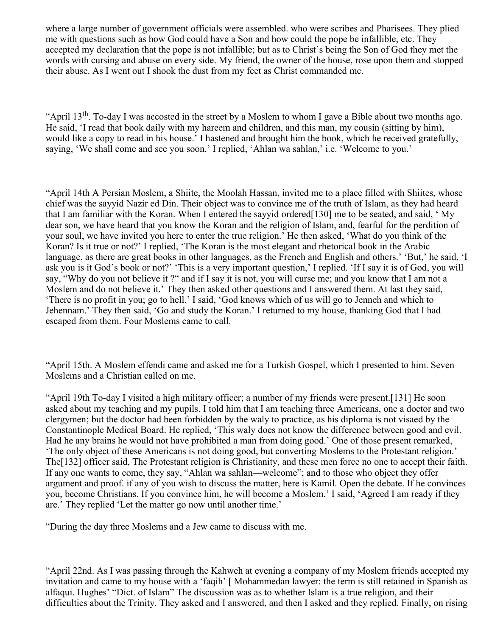where a large number of government officials were assembled. who were scribes and Pharisees. They plied me with questions such as how God could have a Son and how could the pope be infallible, etc. They accepted my declaration that the pope is not infallible; but as to Christ's being the Son of God they met the words with cursing and abuse on every side. My friend, the owner of the house, rose upon them and stopped their abuse. As I went out I shook the dust from my feet as Christ commanded mc.

"April 13<sup>th</sup>. To-day I was accosted in the street by a Moslem to whom I gave a Bible about two months ago. He said, 'I read that book daily with my hareem and children, and this man, my cousin (sitting by him), would like a copy to read in his house.' I hastened and brought him the book, which he received gratefully, saying, 'We shall come and see you soon.' I replied, 'Ahlan wa sahlan,' i.e. 'Welcome to you.'

"April 14th A Persian Moslem, a Shiite, the Moolah Hassan, invited me to a place filled with Shiites, whose chief was the sayyid Nazir ed Din. Their object was to convince me of the truth of Islam, as they had heard that I am familiar with the Koran. When I entered the sayyid ordered[130] me to be seated, and said, ' My dear son, we have heard that you know the Koran and the religion of Islam, and, fearful for the perdition of your soul, we have invited you here to enter the true religion.' He then asked, 'What do you think of the Koran? Is it true or not?' I replied, 'The Koran is the most elegant and rhetorical book in the Arabic language, as there are great books in other languages, as the French and English and others.' 'But,' he said, 'I ask you is it God's book or not?' 'This is a very important question,' I replied. 'If I say it is of God, you will say, "Why do you not believe it ?" and if I say it is not, you will curse me; and you know that I am not a Moslem and do not believe it.' They then asked other questions and I answered them. At last they said, 'There is no profit in you; go to hell.' I said, 'God knows which of us will go to Jenneh and which to Jehennam.' They then said, 'Go and study the Koran.' I returned to my house, thanking God that I had escaped from them. Four Moslems came to call.

"April 15th. A Moslem effendi came and asked me for a Turkish Gospel, which I presented to him. Seven Moslems and a Christian called on me.

"April 19th To-day I visited a high military officer; a number of my friends were present.[131] He soon asked about my teaching and my pupils. I told him that I am teaching three Americans, one a doctor and two clergymen; but the doctor had been forbidden by the waly to practice, as his diploma is not visaed by the Constantinople Medical Board. He replied, 'This waly does not know the difference between good and evil. Had he any brains he would not have prohibited a man from doing good.' One of those present remarked, 'The only object of these Americans is not doing good, but converting Moslems to the Protestant religion.' The[132] officer said, The Protestant religion is Christianity, and these men force no one to accept their faith. If any one wants to come, they say, "Ahlan wa sahlan—welcome"; and to those who object they offer argument and proof. if any of you wish to discuss the matter, here is Kamil. Open the debate. If he convinces you, become Christians. If you convince him, he will become a Moslem.' I said, 'Agreed I am ready if they are.' They replied 'Let the matter go now until another time.'

"During the day three Moslems and a Jew came to discuss with me.

"April 22nd. As I was passing through the Kahweh at evening a company of my Moslem friends accepted my invitation and came to my house with a 'faqih' [ Mohammedan lawyer: the term is still retained in Spanish as alfaqui. Hughes' "Dict. of Islam" The discussion was as to whether Islam is a true religion, and their difficulties about the Trinity. They asked and I answered, and then I asked and they replied. Finally, on rising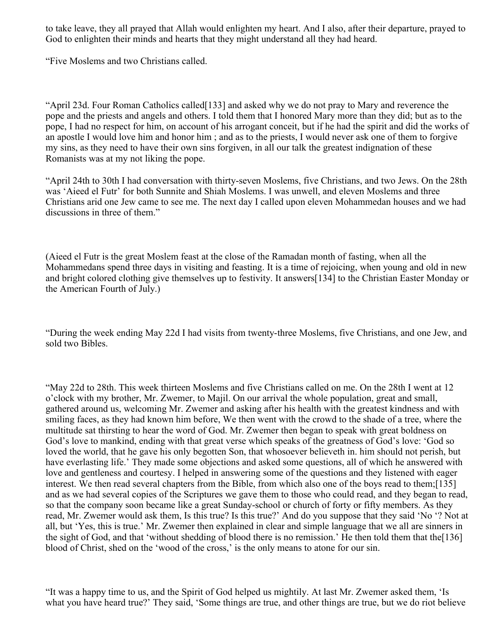to take leave, they all prayed that Allah would enlighten my heart. And I also, after their departure, prayed to God to enlighten their minds and hearts that they might understand all they had heard.

"Five Moslems and two Christians called.

"April 23d. Four Roman Catholics called[133] and asked why we do not pray to Mary and reverence the pope and the priests and angels and others. I told them that I honored Mary more than they did; but as to the pope, I had no respect for him, on account of his arrogant conceit, but if he had the spirit and did the works of an apostle I would love him and honor him ; and as to the priests, I would never ask one of them to forgive my sins, as they need to have their own sins forgiven, in all our talk the greatest indignation of these Romanists was at my not liking the pope.

"April 24th to 30th I had conversation with thirty-seven Moslems, five Christians, and two Jews. On the 28th was 'Aieed el Futr' for both Sunnite and Shiah Moslems. I was unwell, and eleven Moslems and three Christians arid one Jew came to see me. The next day I called upon eleven Mohammedan houses and we had discussions in three of them."

(Aieed el Futr is the great Moslem feast at the close of the Ramadan month of fasting, when all the Mohammedans spend three days in visiting and feasting. It is a time of rejoicing, when young and old in new and bright colored clothing give themselves up to festivity. It answers[134] to the Christian Easter Monday or the American Fourth of July.)

"During the week ending May 22d I had visits from twenty-three Moslems, five Christians, and one Jew, and sold two Bibles.

"May 22d to 28th. This week thirteen Moslems and five Christians called on me. On the 28th I went at 12 o'clock with my brother, Mr. Zwemer, to Majil. On our arrival the whole population, great and small, gathered around us, welcoming Mr. Zwemer and asking after his health with the greatest kindness and with smiling faces, as they had known him before, We then went with the crowd to the shade of a tree, where the multitude sat thirsting to hear the word of God. Mr. Zwemer then began to speak with great boldness on God's love to mankind, ending with that great verse which speaks of the greatness of God's love: 'God so loved the world, that he gave his only begotten Son, that whosoever believeth in. him should not perish, but have everlasting life.' They made some objections and asked some questions, all of which he answered with love and gentleness and courtesy. I helped in answering some of the questions and they listened with eager interest. We then read several chapters from the Bible, from which also one of the boys read to them;[135] and as we had several copies of the Scriptures we gave them to those who could read, and they began to read, so that the company soon became like a great Sunday-school or church of forty or fifty members. As they read, Mr. Zwemer would ask them, Is this true? Is this true?' And do you suppose that they said 'No '? Not at all, but 'Yes, this is true.' Mr. Zwemer then explained in clear and simple language that we all are sinners in the sight of God, and that 'without shedding of blood there is no remission.' He then told them that the[136] blood of Christ, shed on the 'wood of the cross,' is the only means to atone for our sin.

"It was a happy time to us, and the Spirit of God helped us mightily. At last Mr. Zwemer asked them, 'Is what you have heard true?' They said, 'Some things are true, and other things are true, but we do riot believe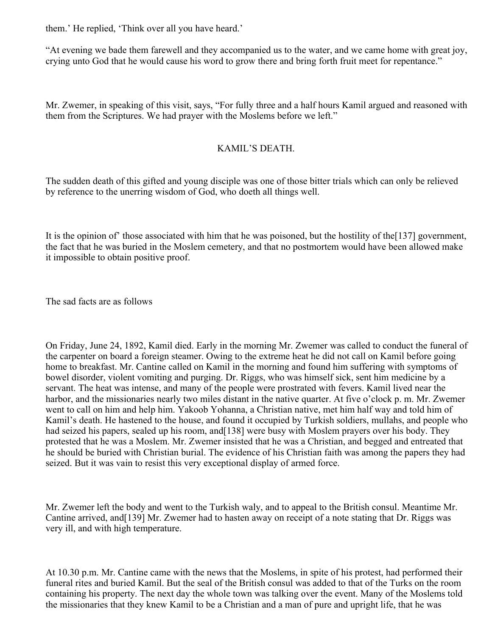them.' He replied, 'Think over all you have heard.'

"At evening we bade them farewell and they accompanied us to the water, and we came home with great joy, crying unto God that he would cause his word to grow there and bring forth fruit meet for repentance."

Mr. Zwemer, in speaking of this visit, says, "For fully three and a half hours Kamil argued and reasoned with them from the Scriptures. We had prayer with the Moslems before we left."

### KAMIL'S DEATH.

The sudden death of this gifted and young disciple was one of those bitter trials which can only be relieved by reference to the unerring wisdom of God, who doeth all things well.

It is the opinion of' those associated with him that he was poisoned, but the hostility of the[137] government, the fact that he was buried in the Moslem cemetery, and that no postmortem would have been allowed make it impossible to obtain positive proof.

The sad facts are as follows

On Friday, June 24, 1892, Kamil died. Early in the morning Mr. Zwemer was called to conduct the funeral of the carpenter on board a foreign steamer. Owing to the extreme heat he did not call on Kamil before going home to breakfast. Mr. Cantine called on Kamil in the morning and found him suffering with symptoms of bowel disorder, violent vomiting and purging. Dr. Riggs, who was himself sick, sent him medicine by a servant. The heat was intense, and many of the people were prostrated with fevers. Kamil lived near the harbor, and the missionaries nearly two miles distant in the native quarter. At five o'clock p. m. Mr. Zwemer went to call on him and help him. Yakoob Yohanna, a Christian native, met him half way and told him of Kamil's death. He hastened to the house, and found it occupied by Turkish soldiers, mullahs, and people who had seized his papers, sealed up his room, and [138] were busy with Moslem prayers over his body. They protested that he was a Moslem. Mr. Zwemer insisted that he was a Christian, and begged and entreated that he should be buried with Christian burial. The evidence of his Christian faith was among the papers they had seized. But it was vain to resist this very exceptional display of armed force.

Mr. Zwemer left the body and went to the Turkish waly, and to appeal to the British consul. Meantime Mr. Cantine arrived, and[139] Mr. Zwemer had to hasten away on receipt of a note stating that Dr. Riggs was very ill, and with high temperature.

At 10.30 p.m. Mr. Cantine came with the news that the Moslems, in spite of his protest, had performed their funeral rites and buried Kamil. But the seal of the British consul was added to that of the Turks on the room containing his property. The next day the whole town was talking over the event. Many of the Moslems told the missionaries that they knew Kamil to be a Christian and a man of pure and upright life, that he was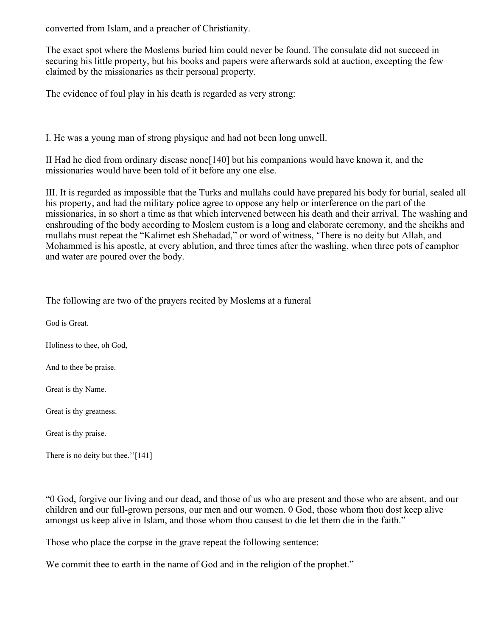converted from Islam, and a preacher of Christianity.

The exact spot where the Moslems buried him could never be found. The consulate did not succeed in securing his little property, but his books and papers were afterwards sold at auction, excepting the few claimed by the missionaries as their personal property.

The evidence of foul play in his death is regarded as very strong:

I. He was a young man of strong physique and had not been long unwell.

II Had he died from ordinary disease none[140] but his companions would have known it, and the missionaries would have been told of it before any one else.

III. It is regarded as impossible that the Turks and mullahs could have prepared his body for burial, sealed all his property, and had the military police agree to oppose any help or interference on the part of the missionaries, in so short a time as that which intervened between his death and their arrival. The washing and enshrouding of the body according to Moslem custom is a long and elaborate ceremony, and the sheikhs and mullahs must repeat the "Kalimet esh Shehadad," or word of witness, 'There is no deity but Allah, and Mohammed is his apostle, at every ablution, and three times after the washing, when three pots of camphor and water are poured over the body.

| The following are two of the prayers recited by Moslems at a funeral |
|----------------------------------------------------------------------|
| God is Great.                                                        |
| Holiness to thee, oh God,                                            |
| And to thee be praise.                                               |
| Great is thy Name.                                                   |
| Great is thy greatness.                                              |
| Great is thy praise.                                                 |
|                                                                      |

There is no deity but thee."[141]

"0 God, forgive our living and our dead, and those of us who are present and those who are absent, and our children and our full-grown persons, our men and our women. 0 God, those whom thou dost keep alive amongst us keep alive in Islam, and those whom thou causest to die let them die in the faith."

Those who place the corpse in the grave repeat the following sentence:

We commit thee to earth in the name of God and in the religion of the prophet."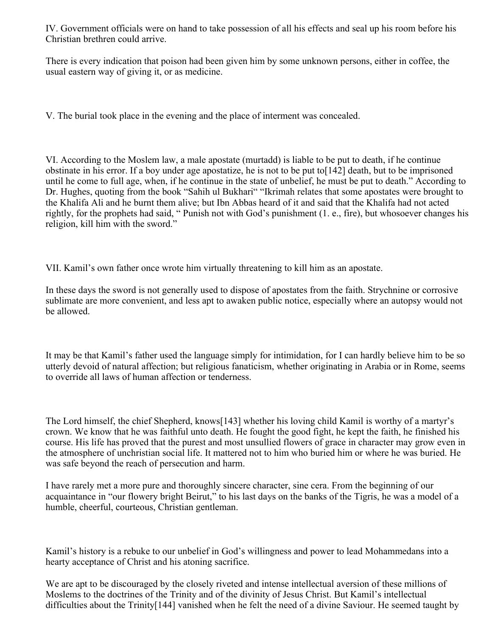IV. Government officials were on hand to take possession of all his effects and seal up his room before his Christian brethren could arrive.

There is every indication that poison had been given him by some unknown persons, either in coffee, the usual eastern way of giving it, or as medicine.

V. The burial took place in the evening and the place of interment was concealed.

VI. According to the Moslem law, a male apostate (murtadd) is liable to be put to death, if he continue obstinate in his error. If a boy under age apostatize, he is not to be put to[142] death, but to be imprisoned until he come to full age, when, if he continue in the state of unbelief, he must be put to death." According to Dr. Hughes, quoting from the book "Sahih ul Bukhari" "Ikrimah relates that some apostates were brought to the Khalifa Ali and he burnt them alive; but Ibn Abbas heard of it and said that the Khalifa had not acted rightly, for the prophets had said, " Punish not with God's punishment (1. e., fire), but whosoever changes his religion, kill him with the sword."

VII. Kamil's own father once wrote him virtually threatening to kill him as an apostate.

In these days the sword is not generally used to dispose of apostates from the faith. Strychnine or corrosive sublimate are more convenient, and less apt to awaken public notice, especially where an autopsy would not be allowed.

It may be that Kamil's father used the language simply for intimidation, for I can hardly believe him to be so utterly devoid of natural affection; but religious fanaticism, whether originating in Arabia or in Rome, seems to override all laws of human affection or tenderness.

The Lord himself, the chief Shepherd, knows[143] whether his loving child Kamil is worthy of a martyr's crown. We know that he was faithful unto death. He fought the good fight, he kept the faith, he finished his course. His life has proved that the purest and most unsullied flowers of grace in character may grow even in the atmosphere of unchristian social life. It mattered not to him who buried him or where he was buried. He was safe beyond the reach of persecution and harm.

I have rarely met a more pure and thoroughly sincere character, sine cera. From the beginning of our acquaintance in "our flowery bright Beirut," to his last days on the banks of the Tigris, he was a model of a humble, cheerful, courteous, Christian gentleman.

Kamil's history is a rebuke to our unbelief in God's willingness and power to lead Mohammedans into a hearty acceptance of Christ and his atoning sacrifice.

We are apt to be discouraged by the closely riveted and intense intellectual aversion of these millions of Moslems to the doctrines of the Trinity and of the divinity of Jesus Christ. But Kamil's intellectual difficulties about the Trinity[144] vanished when he felt the need of a divine Saviour. He seemed taught by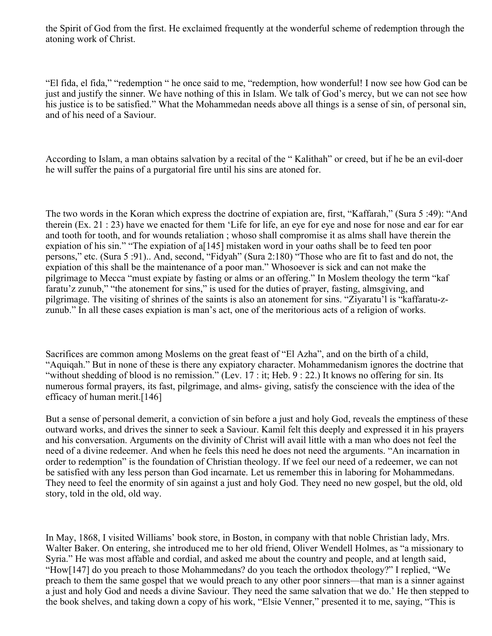the Spirit of God from the first. He exclaimed frequently at the wonderful scheme of redemption through the atoning work of Christ.

"El fida, el fida," "redemption " he once said to me, "redemption, how wonderful! I now see how God can be just and justify the sinner. We have nothing of this in Islam. We talk of God's mercy, but we can not see how his justice is to be satisfied." What the Mohammedan needs above all things is a sense of sin, of personal sin, and of his need of a Saviour.

According to Islam, a man obtains salvation by a recital of the " Kalithah" or creed, but if he be an evil-doer he will suffer the pains of a purgatorial fire until his sins are atoned for.

The two words in the Koran which express the doctrine of expiation are, first, "Kaffarah," (Sura 5 :49): "And therein (Ex. 21 : 23) have we enacted for them 'Life for life, an eye for eye and nose for nose and ear for ear and tooth for tooth, and for wounds retaliation ; whoso shall compromise it as alms shall have therein the expiation of his sin." "The expiation of a[145] mistaken word in your oaths shall be to feed ten poor persons," etc. (Sura 5 :91).. And, second, "Fidyah" (Sura 2:180) "Those who are fit to fast and do not, the expiation of this shall be the maintenance of a poor man." Whosoever is sick and can not make the pilgrimage to Mecca "must expiate by fasting or alms or an offering." In Moslem theology the term "kaf faratu'z zunub," "the atonement for sins," is used for the duties of prayer, fasting, almsgiving, and pilgrimage. The visiting of shrines of the saints is also an atonement for sins. "Ziyaratu'l is "kaffaratu-zzunub." In all these cases expiation is man's act, one of the meritorious acts of a religion of works.

Sacrifices are common among Moslems on the great feast of "El Azha", and on the birth of a child, "Aquiqah." But in none of these is there any expiatory character. Mohammedanism ignores the doctrine that "without shedding of blood is no remission." (Lev. 17 : it; Heb. 9 : 22.) It knows no offering for sin. Its numerous formal prayers, its fast, pilgrimage, and alms- giving, satisfy the conscience with the idea of the efficacy of human merit.[146]

But a sense of personal demerit, a conviction of sin before a just and holy God, reveals the emptiness of these outward works, and drives the sinner to seek a Saviour. Kamil felt this deeply and expressed it in his prayers and his conversation. Arguments on the divinity of Christ will avail little with a man who does not feel the need of a divine redeemer. And when he feels this need he does not need the arguments. "An incarnation in order to redemption" is the foundation of Christian theology. If we feel our need of a redeemer, we can not be satisfied with any less person than God incarnate. Let us remember this in laboring for Mohammedans. They need to feel the enormity of sin against a just and holy God. They need no new gospel, but the old, old story, told in the old, old way.

In May, 1868, I visited Williams' book store, in Boston, in company with that noble Christian lady, Mrs. Walter Baker. On entering, she introduced me to her old friend, Oliver Wendell Holmes, as "a missionary to Syria." He was most affable and cordial, and asked me about the country and people, and at length said, "How[147] do you preach to those Mohammedans? do you teach the orthodox theology?" I replied, "We preach to them the same gospel that we would preach to any other poor sinners—that man is a sinner against a just and holy God and needs a divine Saviour. They need the same salvation that we do.' He then stepped to the book shelves, and taking down a copy of his work, "Elsie Venner," presented it to me, saying, "This is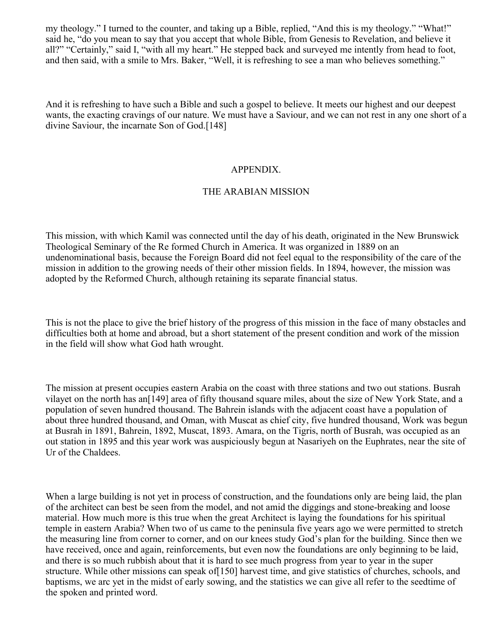my theology." I turned to the counter, and taking up a Bible, replied, "And this is my theology." "What!" said he, "do you mean to say that you accept that whole Bible, from Genesis to Revelation, and believe it all?" "Certainly," said I, "with all my heart." He stepped back and surveyed me intently from head to foot, and then said, with a smile to Mrs. Baker, "Well, it is refreshing to see a man who believes something."

And it is refreshing to have such a Bible and such a gospel to believe. It meets our highest and our deepest wants, the exacting cravings of our nature. We must have a Saviour, and we can not rest in any one short of a divine Saviour, the incarnate Son of God.[148]

#### APPENDIX.

#### THE ARABIAN MISSION

This mission, with which Kamil was connected until the day of his death, originated in the New Brunswick Theological Seminary of the Re formed Church in America. It was organized in 1889 on an undenominational basis, because the Foreign Board did not feel equal to the responsibility of the care of the mission in addition to the growing needs of their other mission fields. In 1894, however, the mission was adopted by the Reformed Church, although retaining its separate financial status.

This is not the place to give the brief history of the progress of this mission in the face of many obstacles and difficulties both at home and abroad, but a short statement of the present condition and work of the mission in the field will show what God hath wrought.

The mission at present occupies eastern Arabia on the coast with three stations and two out stations. Busrah vilayet on the north has an[149] area of fifty thousand square miles, about the size of New York State, and a population of seven hundred thousand. The Bahrein islands with the adjacent coast have a population of about three hundred thousand, and Oman, with Muscat as chief city, five hundred thousand, Work was begun at Busrah in 1891, Bahrein, 1892, Muscat, 1893. Amara, on the Tigris, north of Busrah, was occupied as an out station in 1895 and this year work was auspiciously begun at Nasariyeh on the Euphrates, near the site of Ur of the Chaldees.

When a large building is not yet in process of construction, and the foundations only are being laid, the plan of the architect can best be seen from the model, and not amid the diggings and stone-breaking and loose material. How much more is this true when the great Architect is laying the foundations for his spiritual temple in eastern Arabia? When two of us came to the peninsula five years ago we were permitted to stretch the measuring line from corner to corner, and on our knees study God's plan for the building. Since then we have received, once and again, reinforcements, but even now the foundations are only beginning to be laid, and there is so much rubbish about that it is hard to see much progress from year to year in the super structure. While other missions can speak of [150] harvest time, and give statistics of churches, schools, and baptisms, we arc yet in the midst of early sowing, and the statistics we can give all refer to the seedtime of the spoken and printed word.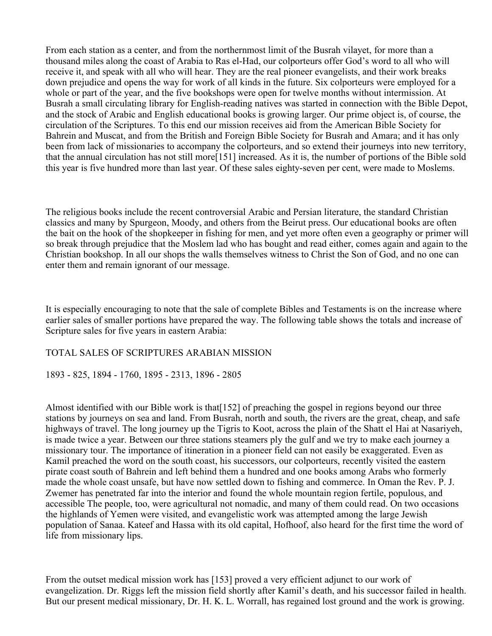From each station as a center, and from the northernmost limit of the Busrah vilayet, for more than a thousand miles along the coast of Arabia to Ras el-Had, our colporteurs offer God's word to all who will receive it, and speak with all who will hear. They are the real pioneer evangelists, and their work breaks down prejudice and opens the way for work of all kinds in the future. Six colporteurs were employed for a whole or part of the year, and the five bookshops were open for twelve months without intermission. At Busrah a small circulating library for English-reading natives was started in connection with the Bible Depot, and the stock of Arabic and English educational books is growing larger. Our prime object is, of course, the circulation of the Scriptures. To this end our mission receives aid from the American Bible Society for Bahrein and Muscat, and from the British and Foreign Bible Society for Busrah and Amara; and it has only been from lack of missionaries to accompany the colporteurs, and so extend their journeys into new territory, that the annual circulation has not still more[151] increased. As it is, the number of portions of the Bible sold this year is five hundred more than last year. Of these sales eighty-seven per cent, were made to Moslems.

The religious books include the recent controversial Arabic and Persian literature, the standard Christian classics and many by Spurgeon, Moody, and others from the Beirut press. Our educational books are often the bait on the hook of the shopkeeper in fishing for men, and yet more often even a geography or primer will so break through prejudice that the Moslem lad who has bought and read either, comes again and again to the Christian bookshop. In all our shops the walls themselves witness to Christ the Son of God, and no one can enter them and remain ignorant of our message.

It is especially encouraging to note that the sale of complete Bibles and Testaments is on the increase where earlier sales of smaller portions have prepared the way. The following table shows the totals and increase of Scripture sales for five years in eastern Arabia:

### TOTAL SALES OF SCRIPTURES ARABIAN MISSION

1893 - 825, 1894 - 1760, 1895 - 2313, 1896 - 2805

Almost identified with our Bible work is that[152] of preaching the gospel in regions beyond our three stations by journeys on sea and land. From Busrah, north and south, the rivers are the great, cheap, and safe highways of travel. The long journey up the Tigris to Koot, across the plain of the Shatt el Hai at Nasariyeh, is made twice a year. Between our three stations steamers ply the gulf and we try to make each journey a missionary tour. The importance of itineration in a pioneer field can not easily be exaggerated. Even as Kamil preached the word on the south coast, his successors, our colporteurs, recently visited the eastern pirate coast south of Bahrein and left behind them a hundred and one books among Arabs who formerly made the whole coast unsafe, but have now settled down to fishing and commerce. In Oman the Rev. P. J. Zwemer has penetrated far into the interior and found the whole mountain region fertile, populous, and accessible The people, too, were agricultural not nomadic, and many of them could read. On two occasions the highlands of Yemen were visited, and evangelistic work was attempted among the large Jewish population of Sanaa. Kateef and Hassa with its old capital, Hofhoof, also heard for the first time the word of life from missionary lips.

From the outset medical mission work has [153] proved a very efficient adjunct to our work of evangelization. Dr. Riggs left the mission field shortly after Kamil's death, and his successor failed in health. But our present medical missionary, Dr. H. K. L. Worrall, has regained lost ground and the work is growing.